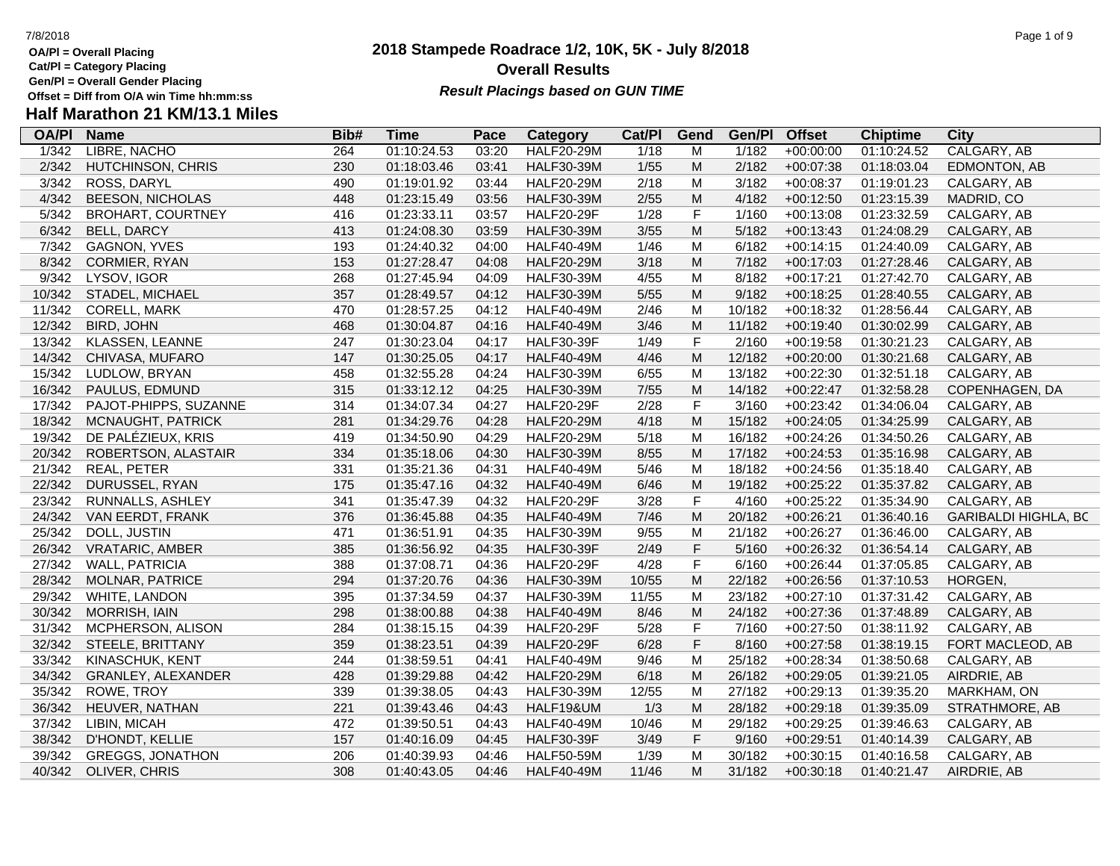- **OA/Pl = Overall Placing**
- **Cat/Pl = Category Placing**
- **Gen/Pl = Overall Gender Placing**

### **2018 Stampede Roadrace 1/2, 10K, 5K - July 8/2018** 7/8/2018 Page 1 of 9 **Overall Results Result Placings based on GUN TIME**

| <b>OA/PI</b> | <b>Name</b>              | Bib# | Time        | Pace  | Category          | Cat/PI | Gend        | Gen/Pl | <b>Offset</b> | <b>Chiptime</b> | City                        |
|--------------|--------------------------|------|-------------|-------|-------------------|--------|-------------|--------|---------------|-----------------|-----------------------------|
| 1/342        | <b>LIBRE, NACHO</b>      | 264  | 01:10:24.53 | 03:20 | <b>HALF20-29M</b> | 1/18   | м           | 1/182  | $+00:00:00$   | 01:10:24.52     | CALGARY, AB                 |
| 2/342        | HUTCHINSON, CHRIS        | 230  | 01:18:03.46 | 03:41 | <b>HALF30-39M</b> | 1/55   | ${\sf M}$   | 2/182  | $+00:07:38$   | 01:18:03.04     | EDMONTON, AB                |
| 3/342        | ROSS, DARYL              | 490  | 01:19:01.92 | 03:44 | <b>HALF20-29M</b> | 2/18   | M           | 3/182  | $+00:08:37$   | 01:19:01.23     | CALGARY, AB                 |
| 4/342        | <b>BEESON, NICHOLAS</b>  | 448  | 01:23:15.49 | 03:56 | <b>HALF30-39M</b> | 2/55   | ${\sf M}$   | 4/182  | $+00:12:50$   | 01:23:15.39     | MADRID, CO                  |
| 5/342        | <b>BROHART, COURTNEY</b> | 416  | 01:23:33.11 | 03:57 | <b>HALF20-29F</b> | 1/28   | $\mathsf F$ | 1/160  | $+00:13:08$   | 01:23:32.59     | CALGARY, AB                 |
| 6/342        | <b>BELL, DARCY</b>       | 413  | 01:24:08.30 | 03:59 | <b>HALF30-39M</b> | 3/55   | M           | 5/182  | $+00:13:43$   | 01:24:08.29     | CALGARY, AB                 |
| 7/342        | GAGNON, YVES             | 193  | 01:24:40.32 | 04:00 | <b>HALF40-49M</b> | 1/46   | M           | 6/182  | $+00:14:15$   | 01:24:40.09     | CALGARY, AB                 |
| 8/342        | CORMIER, RYAN            | 153  | 01:27:28.47 | 04:08 | <b>HALF20-29M</b> | 3/18   | M           | 7/182  | $+00:17:03$   | 01:27:28.46     | CALGARY, AB                 |
| 9/342        | LYSOV, IGOR              | 268  | 01:27:45.94 | 04:09 | <b>HALF30-39M</b> | 4/55   | M           | 8/182  | $+00:17:21$   | 01:27:42.70     | CALGARY, AB                 |
| 10/342       | STADEL, MICHAEL          | 357  | 01:28:49.57 | 04:12 | <b>HALF30-39M</b> | 5/55   | ${\sf M}$   | 9/182  | $+00:18:25$   | 01:28:40.55     | CALGARY, AB                 |
| 11/342       | CORELL, MARK             | 470  | 01:28:57.25 | 04:12 | <b>HALF40-49M</b> | 2/46   | M           | 10/182 | $+00:18:32$   | 01:28:56.44     | CALGARY, AB                 |
| 12/342       | <b>BIRD, JOHN</b>        | 468  | 01:30:04.87 | 04:16 | <b>HALF40-49M</b> | 3/46   | ${\sf M}$   | 11/182 | $+00:19:40$   | 01:30:02.99     | CALGARY, AB                 |
| 13/342       | KLASSEN, LEANNE          | 247  | 01:30:23.04 | 04:17 | <b>HALF30-39F</b> | 1/49   | $\mathsf F$ | 2/160  | $+00:19:58$   | 01:30:21.23     | CALGARY, AB                 |
| 14/342       | CHIVASA, MUFARO          | 147  | 01:30:25.05 | 04:17 | <b>HALF40-49M</b> | 4/46   | ${\sf M}$   | 12/182 | $+00:20:00$   | 01:30:21.68     | CALGARY, AB                 |
| 15/342       | LUDLOW, BRYAN            | 458  | 01:32:55.28 | 04:24 | <b>HALF30-39M</b> | 6/55   | M           | 13/182 | $+00:22:30$   | 01:32:51.18     | CALGARY, AB                 |
| 16/342       | PAULUS, EDMUND           | 315  | 01:33:12.12 | 04:25 | <b>HALF30-39M</b> | $7/55$ | ${\sf M}$   | 14/182 | $+00:22:47$   | 01:32:58.28     | COPENHAGEN, DA              |
| 17/342       | PAJOT-PHIPPS, SUZANNE    | 314  | 01:34:07.34 | 04:27 | <b>HALF20-29F</b> | 2/28   | $\mathsf F$ | 3/160  | $+00:23:42$   | 01:34:06.04     | CALGARY, AB                 |
| 18/342       | MCNAUGHT, PATRICK        | 281  | 01:34:29.76 | 04:28 | <b>HALF20-29M</b> | 4/18   | ${\sf M}$   | 15/182 | $+00:24:05$   | 01:34:25.99     | CALGARY, AB                 |
| 19/342       | DE PALÉZIEUX, KRIS       | 419  | 01:34:50.90 | 04:29 | <b>HALF20-29M</b> | 5/18   | M           | 16/182 | $+00:24:26$   | 01:34:50.26     | CALGARY, AB                 |
| 20/342       | ROBERTSON, ALASTAIR      | 334  | 01:35:18.06 | 04:30 | <b>HALF30-39M</b> | 8/55   | M           | 17/182 | $+00:24:53$   | 01:35:16.98     | CALGARY, AB                 |
| 21/342       | REAL, PETER              | 331  | 01:35:21.36 | 04:31 | <b>HALF40-49M</b> | $5/46$ | ${\sf M}$   | 18/182 | $+00:24:56$   | 01:35:18.40     | CALGARY, AB                 |
| 22/342       | DURUSSEL, RYAN           | 175  | 01:35:47.16 | 04:32 | <b>HALF40-49M</b> | 6/46   | ${\sf M}$   | 19/182 | $+00:25:22$   | 01:35:37.82     | CALGARY, AB                 |
| 23/342       | RUNNALLS, ASHLEY         | 341  | 01:35:47.39 | 04:32 | <b>HALF20-29F</b> | 3/28   | $\mathsf F$ | 4/160  | $+00:25:22$   | 01:35:34.90     | CALGARY, AB                 |
| 24/342       | VAN EERDT, FRANK         | 376  | 01:36:45.88 | 04:35 | <b>HALF40-49M</b> | 7/46   | ${\sf M}$   | 20/182 | $+00:26:21$   | 01:36:40.16     | <b>GARIBALDI HIGHLA, BC</b> |
| 25/342       | DOLL, JUSTIN             | 471  | 01:36:51.91 | 04:35 | <b>HALF30-39M</b> | 9/55   | M           | 21/182 | $+00:26:27$   | 01:36:46.00     | CALGARY, AB                 |
| 26/342       | <b>VRATARIC, AMBER</b>   | 385  | 01:36:56.92 | 04:35 | <b>HALF30-39F</b> | 2/49   | $\mathsf F$ | 5/160  | $+00:26:32$   | 01:36:54.14     | CALGARY, AB                 |
| 27/342       | <b>WALL, PATRICIA</b>    | 388  | 01:37:08.71 | 04:36 | <b>HALF20-29F</b> | 4/28   | $\mathsf F$ | 6/160  | $+00:26:44$   | 01:37:05.85     | CALGARY, AB                 |
| 28/342       | MOLNAR, PATRICE          | 294  | 01:37:20.76 | 04:36 | <b>HALF30-39M</b> | 10/55  | ${\sf M}$   | 22/182 | $+00:26:56$   | 01:37:10.53     | HORGEN,                     |
| 29/342       | WHITE, LANDON            | 395  | 01:37:34.59 | 04:37 | <b>HALF30-39M</b> | 11/55  | M           | 23/182 | $+00:27:10$   | 01:37:31.42     | CALGARY, AB                 |
| 30/342       | MORRISH, IAIN            | 298  | 01:38:00.88 | 04:38 | <b>HALF40-49M</b> | 8/46   | M           | 24/182 | $+00:27:36$   | 01:37:48.89     | CALGARY, AB                 |
| 31/342       | MCPHERSON, ALISON        | 284  | 01:38:15.15 | 04:39 | <b>HALF20-29F</b> | 5/28   | $\mathsf F$ | 7/160  | $+00:27:50$   | 01:38:11.92     | CALGARY, AB                 |
| 32/342       | STEELE, BRITTANY         | 359  | 01:38:23.51 | 04:39 | <b>HALF20-29F</b> | 6/28   | $\mathsf F$ | 8/160  | $+00:27:58$   | 01:38:19.15     | FORT MACLEOD, AB            |
| 33/342       | KINASCHUK, KENT          | 244  | 01:38:59.51 | 04:41 | <b>HALF40-49M</b> | 9/46   | M           | 25/182 | $+00:28:34$   | 01:38:50.68     | CALGARY, AB                 |
| 34/342       | GRANLEY, ALEXANDER       | 428  | 01:39:29.88 | 04:42 | <b>HALF20-29M</b> | 6/18   | ${\sf M}$   | 26/182 | $+00:29:05$   | 01:39:21.05     | AIRDRIE, AB                 |
| 35/342       | ROWE, TROY               | 339  | 01:39:38.05 | 04:43 | <b>HALF30-39M</b> | 12/55  | M           | 27/182 | $+00:29:13$   | 01:39:35.20     | MARKHAM, ON                 |
| 36/342       | HEUVER, NATHAN           | 221  | 01:39:43.46 | 04:43 | HALF19&UM         | 1/3    | ${\sf M}$   | 28/182 | $+00:29:18$   | 01:39:35.09     | STRATHMORE, AB              |
| 37/342       | LIBIN, MICAH             | 472  | 01:39:50.51 | 04:43 | <b>HALF40-49M</b> | 10/46  | M           | 29/182 | $+00:29:25$   | 01:39:46.63     | CALGARY, AB                 |
| 38/342       | D'HONDT, KELLIE          | 157  | 01:40:16.09 | 04:45 | <b>HALF30-39F</b> | 3/49   | $\mathsf F$ | 9/160  | $+00:29:51$   | 01:40:14.39     | CALGARY, AB                 |
| 39/342       | <b>GREGGS, JONATHON</b>  | 206  | 01:40:39.93 | 04:46 | <b>HALF50-59M</b> | 1/39   | M           | 30/182 | $+00:30:15$   | 01:40:16.58     | CALGARY, AB                 |
| 40/342       | OLIVER, CHRIS            | 308  | 01:40:43.05 | 04:46 | <b>HALF40-49M</b> | 11/46  | M           | 31/182 | $+00:30:18$   | 01:40:21.47     | AIRDRIE, AB                 |
|              |                          |      |             |       |                   |        |             |        |               |                 |                             |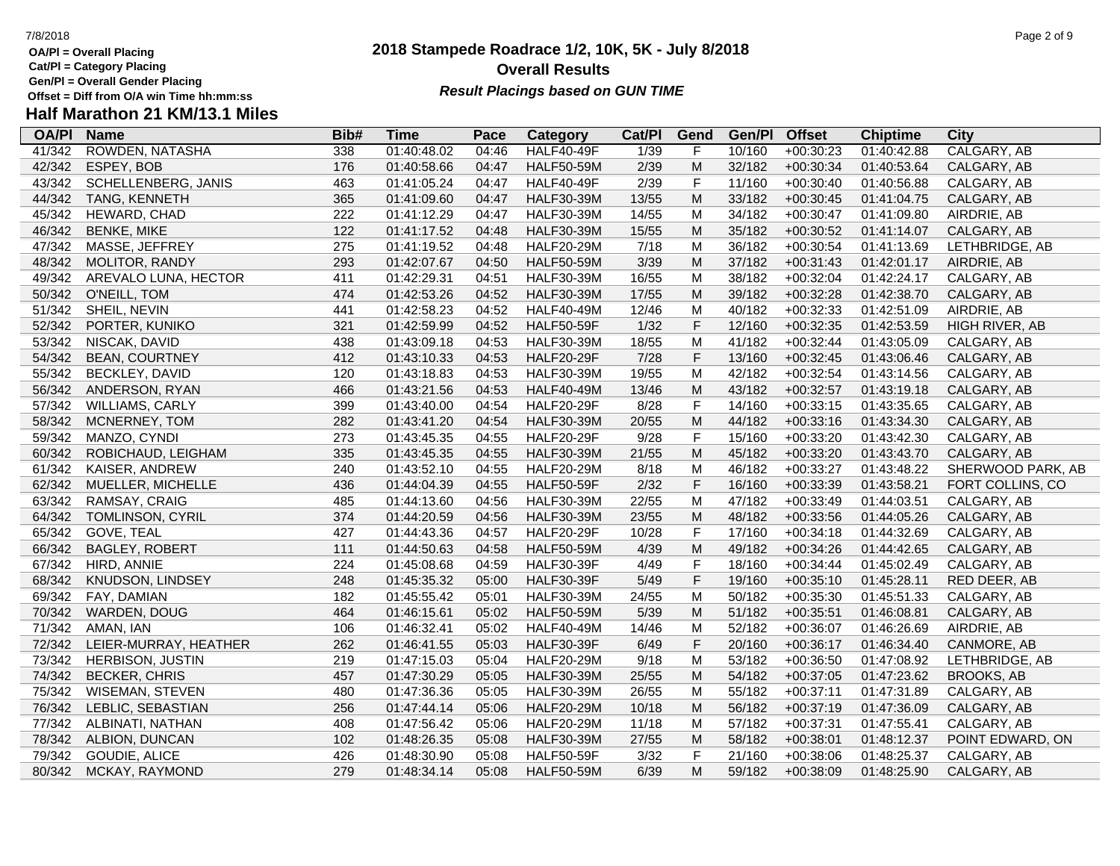- **OA/Pl = Overall Placing**
- **Cat/Pl = Category Placing**
- **Gen/Pl = Overall Gender Placing**

### **2018 Stampede Roadrace 1/2, 10K, 5K - July 8/2018** 7/8/2018 Page 2 of 9 **Overall Results Result Placings based on GUN TIME**

| <b>OA/PI</b> | <b>Name</b>             | Bib# | <b>Time</b> | Pace  | Category          | Cat/PI | Gend                                                                                                       | Gen/Pl | <b>Offset</b> | <b>Chiptime</b> | City              |
|--------------|-------------------------|------|-------------|-------|-------------------|--------|------------------------------------------------------------------------------------------------------------|--------|---------------|-----------------|-------------------|
| 41/342       | ROWDEN, NATASHA         | 338  | 01:40:48.02 | 04:46 | HALF40-49F        | 1/39   | F                                                                                                          | 10/160 | $+00:30:23$   | 01:40:42.88     | CALGARY, AB       |
| 42/342       | ESPEY, BOB              | 176  | 01:40:58.66 | 04:47 | <b>HALF50-59M</b> | 2/39   | M                                                                                                          | 32/182 | $+00:30:34$   | 01:40:53.64     | CALGARY, AB       |
| 43/342       | SCHELLENBERG, JANIS     | 463  | 01:41:05.24 | 04:47 | <b>HALF40-49F</b> | 2/39   | F                                                                                                          | 11/160 | $+00:30:40$   | 01:40:56.88     | CALGARY, AB       |
| 44/342       | TANG, KENNETH           | 365  | 01:41:09.60 | 04:47 | <b>HALF30-39M</b> | 13/55  | M                                                                                                          | 33/182 | $+00:30:45$   | 01:41:04.75     | CALGARY, AB       |
| 45/342       | HEWARD, CHAD            | 222  | 01:41:12.29 | 04:47 | <b>HALF30-39M</b> | 14/55  | M                                                                                                          | 34/182 | $+00:30:47$   | 01:41:09.80     | AIRDRIE, AB       |
| 46/342       | <b>BENKE, MIKE</b>      | 122  | 01:41:17.52 | 04:48 | <b>HALF30-39M</b> | 15/55  | M                                                                                                          | 35/182 | $+00:30:52$   | 01:41:14.07     | CALGARY, AB       |
| 47/342       | MASSE, JEFFREY          | 275  | 01:41:19.52 | 04:48 | <b>HALF20-29M</b> | 7/18   | M                                                                                                          | 36/182 | $+00:30:54$   | 01:41:13.69     | LETHBRIDGE, AB    |
| 48/342       | MOLITOR, RANDY          | 293  | 01:42:07.67 | 04:50 | <b>HALF50-59M</b> | 3/39   | M                                                                                                          | 37/182 | $+00:31:43$   | 01:42:01.17     | AIRDRIE, AB       |
| 49/342       | AREVALO LUNA, HECTOR    | 411  | 01:42:29.31 | 04:51 | <b>HALF30-39M</b> | 16/55  | M                                                                                                          | 38/182 | $+00:32:04$   | 01:42:24.17     | CALGARY, AB       |
| 50/342       | O'NEILL, TOM            | 474  | 01:42:53.26 | 04:52 | <b>HALF30-39M</b> | 17/55  | M                                                                                                          | 39/182 | $+00:32:28$   | 01:42:38.70     | CALGARY, AB       |
| 51/342       | SHEIL, NEVIN            | 441  | 01:42:58.23 | 04:52 | <b>HALF40-49M</b> | 12/46  | M                                                                                                          | 40/182 | $+00:32:33$   | 01:42:51.09     | AIRDRIE, AB       |
| 52/342       | PORTER, KUNIKO          | 321  | 01:42:59.99 | 04:52 | <b>HALF50-59F</b> | 1/32   | F                                                                                                          | 12/160 | $+00:32:35$   | 01:42:53.59     | HIGH RIVER, AB    |
| 53/342       | NISCAK, DAVID           | 438  | 01:43:09.18 | 04:53 | <b>HALF30-39M</b> | 18/55  | M                                                                                                          | 41/182 | $+00:32:44$   | 01:43:05.09     | CALGARY, AB       |
| 54/342       | <b>BEAN, COURTNEY</b>   | 412  | 01:43:10.33 | 04:53 | <b>HALF20-29F</b> | 7/28   | F                                                                                                          | 13/160 | $+00:32:45$   | 01:43:06.46     | CALGARY, AB       |
| 55/342       | <b>BECKLEY, DAVID</b>   | 120  | 01:43:18.83 | 04:53 | <b>HALF30-39M</b> | 19/55  | M                                                                                                          | 42/182 | $+00:32:54$   | 01:43:14.56     | CALGARY, AB       |
| 56/342       | ANDERSON, RYAN          | 466  | 01:43:21.56 | 04:53 | <b>HALF40-49M</b> | 13/46  | M                                                                                                          | 43/182 | $+00:32:57$   | 01:43:19.18     | CALGARY, AB       |
| 57/342       | WILLIAMS, CARLY         | 399  | 01:43:40.00 | 04:54 | <b>HALF20-29F</b> | 8/28   | F                                                                                                          | 14/160 | $+00:33:15$   | 01:43:35.65     | CALGARY, AB       |
| 58/342       | MCNERNEY, TOM           | 282  | 01:43:41.20 | 04:54 | <b>HALF30-39M</b> | 20/55  | $\mathsf{M}% _{T}=\mathsf{M}_{T}\!\left( a,b\right) ,\ \mathsf{M}_{T}=\mathsf{M}_{T}$                      | 44/182 | $+00:33:16$   | 01:43:34.30     | CALGARY, AB       |
| 59/342       | MANZO, CYNDI            | 273  | 01:43:45.35 | 04:55 | <b>HALF20-29F</b> | 9/28   | F                                                                                                          | 15/160 | $+00:33:20$   | 01:43:42.30     | CALGARY, AB       |
| 60/342       | ROBICHAUD, LEIGHAM      | 335  | 01:43:45.35 | 04:55 | <b>HALF30-39M</b> | 21/55  | $\mathsf{M}% _{T}=\mathsf{M}_{T}\!\left( a,b\right) ,\ \mathsf{M}_{T}=\mathsf{M}_{T}\!\left( a,b\right) ,$ | 45/182 | $+00:33:20$   | 01:43:43.70     | CALGARY, AB       |
| 61/342       | KAISER, ANDREW          | 240  | 01:43:52.10 | 04:55 | <b>HALF20-29M</b> | 8/18   | M                                                                                                          | 46/182 | $+00:33:27$   | 01:43:48.22     | SHERWOOD PARK, AB |
| 62/342       | MUELLER, MICHELLE       | 436  | 01:44:04.39 | 04:55 | <b>HALF50-59F</b> | 2/32   | $\mathsf F$                                                                                                | 16/160 | $+00:33:39$   | 01:43:58.21     | FORT COLLINS, CO  |
| 63/342       | RAMSAY, CRAIG           | 485  | 01:44:13.60 | 04:56 | <b>HALF30-39M</b> | 22/55  | M                                                                                                          | 47/182 | $+00:33:49$   | 01:44:03.51     | CALGARY, AB       |
| 64/342       | <b>TOMLINSON, CYRIL</b> | 374  | 01:44:20.59 | 04:56 | <b>HALF30-39M</b> | 23/55  | M                                                                                                          | 48/182 | $+00:33:56$   | 01:44:05.26     | CALGARY, AB       |
| 65/342       | GOVE, TEAL              | 427  | 01:44:43.36 | 04:57 | <b>HALF20-29F</b> | 10/28  | F                                                                                                          | 17/160 | $+00:34:18$   | 01:44:32.69     | CALGARY, AB       |
| 66/342       | <b>BAGLEY, ROBERT</b>   | 111  | 01:44:50.63 | 04:58 | <b>HALF50-59M</b> | 4/39   | $\mathsf{M}% _{T}=\mathsf{M}_{T}\!\left( a,b\right) ,\ \mathsf{M}_{T}=\mathsf{M}_{T}$                      | 49/182 | $+00:34:26$   | 01:44:42.65     | CALGARY, AB       |
| 67/342       | HIRD, ANNIE             | 224  | 01:45:08.68 | 04:59 | <b>HALF30-39F</b> | 4/49   | F                                                                                                          | 18/160 | $+00:34:44$   | 01:45:02.49     | CALGARY, AB       |
| 68/342       | KNUDSON, LINDSEY        | 248  | 01:45:35.32 | 05:00 | <b>HALF30-39F</b> | 5/49   | F                                                                                                          | 19/160 | $+00:35:10$   | 01:45:28.11     | RED DEER, AB      |
| 69/342       | FAY, DAMIAN             | 182  | 01:45:55.42 | 05:01 | <b>HALF30-39M</b> | 24/55  | M                                                                                                          | 50/182 | $+00:35:30$   | 01:45:51.33     | CALGARY, AB       |
| 70/342       | WARDEN, DOUG            | 464  | 01:46:15.61 | 05:02 | <b>HALF50-59M</b> | 5/39   | ${\sf M}$                                                                                                  | 51/182 | $+00:35:51$   | 01:46:08.81     | CALGARY, AB       |
| 71/342       | AMAN, IAN               | 106  | 01:46:32.41 | 05:02 | <b>HALF40-49M</b> | 14/46  | M                                                                                                          | 52/182 | +00:36:07     | 01:46:26.69     | AIRDRIE, AB       |
| 72/342       | LEIER-MURRAY, HEATHER   | 262  | 01:46:41.55 | 05:03 | <b>HALF30-39F</b> | 6/49   | F                                                                                                          | 20/160 | $+00:36:17$   | 01:46:34.40     | CANMORE, AB       |
| 73/342       | <b>HERBISON, JUSTIN</b> | 219  | 01:47:15.03 | 05:04 | <b>HALF20-29M</b> | 9/18   | M                                                                                                          | 53/182 | $+00:36:50$   | 01:47:08.92     | LETHBRIDGE, AB    |
| 74/342       | <b>BECKER, CHRIS</b>    | 457  | 01:47:30.29 | 05:05 | <b>HALF30-39M</b> | 25/55  | ${\sf M}$                                                                                                  | 54/182 | $+00:37:05$   | 01:47:23.62     | <b>BROOKS, AB</b> |
| 75/342       | <b>WISEMAN, STEVEN</b>  | 480  | 01:47:36.36 | 05:05 | <b>HALF30-39M</b> | 26/55  | M                                                                                                          | 55/182 | $+00:37:11$   | 01:47:31.89     | CALGARY, AB       |
| 76/342       | LEBLIC, SEBASTIAN       | 256  | 01:47:44.14 | 05:06 | <b>HALF20-29M</b> | 10/18  | ${\sf M}$                                                                                                  | 56/182 | $+00:37:19$   | 01:47:36.09     | CALGARY, AB       |
| 77/342       | ALBINATI, NATHAN        | 408  | 01:47:56.42 | 05:06 | <b>HALF20-29M</b> | 11/18  | M                                                                                                          | 57/182 | $+00:37:31$   | 01:47:55.41     | CALGARY, AB       |
| 78/342       | ALBION, DUNCAN          | 102  | 01:48:26.35 | 05:08 | <b>HALF30-39M</b> | 27/55  | M                                                                                                          | 58/182 | $+00:38:01$   | 01:48:12.37     | POINT EDWARD, ON  |
| 79/342       | GOUDIE, ALICE           | 426  | 01:48:30.90 | 05:08 | <b>HALF50-59F</b> | 3/32   | F                                                                                                          | 21/160 | $+00:38:06$   | 01:48:25.37     | CALGARY, AB       |
| 80/342       | MCKAY, RAYMOND          | 279  | 01:48:34.14 | 05:08 | <b>HALF50-59M</b> | 6/39   | M                                                                                                          | 59/182 | $+00:38:09$   | 01:48:25.90     | CALGARY, AB       |
|              |                         |      |             |       |                   |        |                                                                                                            |        |               |                 |                   |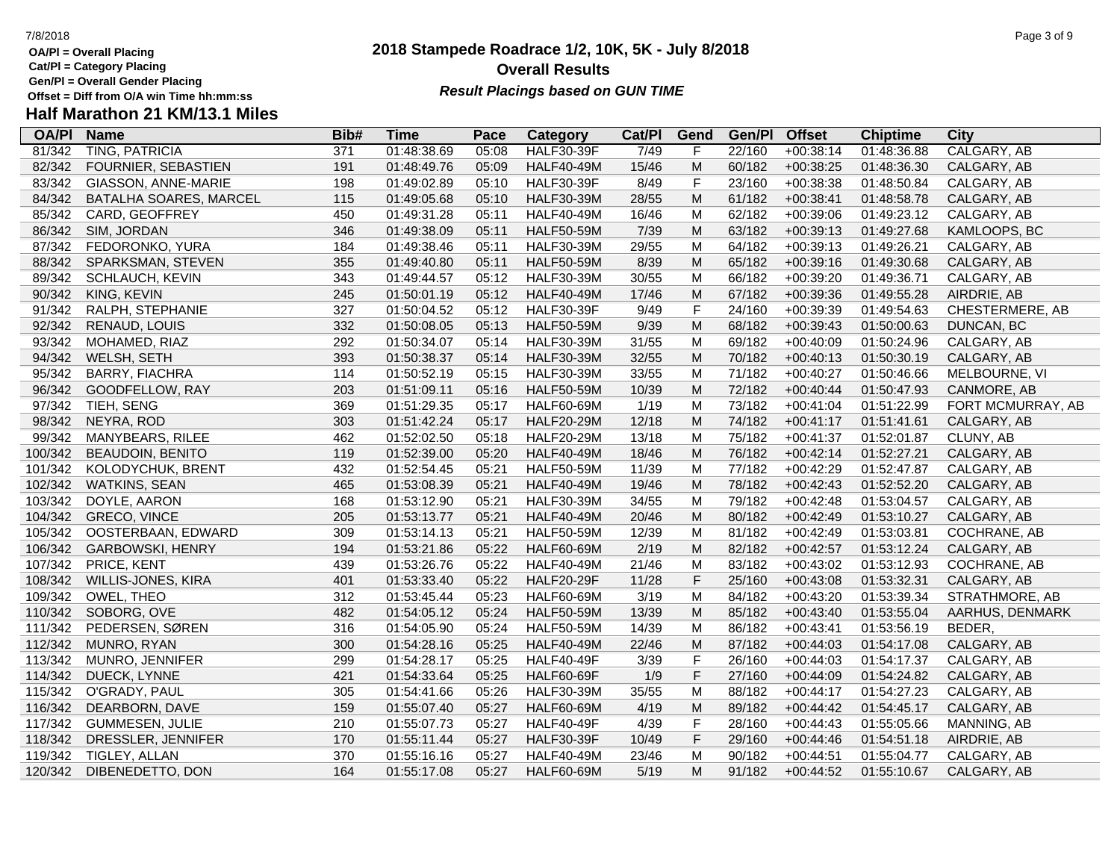- **OA/Pl = Overall Placing**
- **Cat/Pl = Category Placing**
- **Gen/Pl = Overall Gender Placing**

### **2018 Stampede Roadrace 1/2, 10K, 5K - July 8/2018** 7/8/2018 Page 3 of 9 **Overall Results Result Placings based on GUN TIME**

| <b>OA/PI</b> | <b>Name</b>             | Bib#             | <b>Time</b> | Pace  | <b>Category</b>   | Cat/PI | Gend                                                                                  | Gen/Pl | <b>Offset</b> | <b>Chiptime</b> | City                |
|--------------|-------------------------|------------------|-------------|-------|-------------------|--------|---------------------------------------------------------------------------------------|--------|---------------|-----------------|---------------------|
| 81/342       | <b>TING, PATRICIA</b>   | $\overline{371}$ | 01:48:38.69 | 05:08 | HALF30-39F        | 7/49   | F                                                                                     | 22/160 | $+00:38:14$   | 01:48:36.88     | <b>CALGARY, AB</b>  |
| 82/342       | FOURNIER, SEBASTIEN     | 191              | 01:48:49.76 | 05:09 | <b>HALF40-49M</b> | 15/46  | M                                                                                     | 60/182 | $+00:38:25$   | 01:48:36.30     | CALGARY, AB         |
| 83/342       | GIASSON, ANNE-MARIE     | 198              | 01:49:02.89 | 05:10 | <b>HALF30-39F</b> | 8/49   | F                                                                                     | 23/160 | $+00:38:38$   | 01:48:50.84     | CALGARY, AB         |
| 84/342       | BATALHA SOARES, MARCEL  | 115              | 01:49:05.68 | 05:10 | <b>HALF30-39M</b> | 28/55  | $\mathsf{M}% _{T}=\mathsf{M}_{T}\!\left( a,b\right) ,\ \mathsf{M}_{T}=\mathsf{M}_{T}$ | 61/182 | $+00:38:41$   | 01:48:58.78     | CALGARY, AB         |
| 85/342       | CARD, GEOFFREY          | 450              | 01:49:31.28 | 05:11 | <b>HALF40-49M</b> | 16/46  | M                                                                                     | 62/182 | $+00:39:06$   | 01:49:23.12     | CALGARY, AB         |
| 86/342       | SIM, JORDAN             | 346              | 01:49:38.09 | 05:11 | <b>HALF50-59M</b> | 7/39   | ${\sf M}$                                                                             | 63/182 | $+00:39:13$   | 01:49:27.68     | KAMLOOPS, BC        |
| 87/342       | FEDORONKO, YURA         | 184              | 01:49:38.46 | 05:11 | <b>HALF30-39M</b> | 29/55  | M                                                                                     | 64/182 | $+00:39:13$   | 01:49:26.21     | CALGARY, AB         |
| 88/342       | SPARKSMAN, STEVEN       | 355              | 01:49:40.80 | 05:11 | <b>HALF50-59M</b> | 8/39   | M                                                                                     | 65/182 | $+00:39:16$   | 01:49:30.68     | CALGARY, AB         |
| 89/342       | SCHLAUCH, KEVIN         | 343              | 01:49:44.57 | 05:12 | <b>HALF30-39M</b> | 30/55  | M                                                                                     | 66/182 | +00:39:20     | 01:49:36.71     | CALGARY, AB         |
| 90/342       | KING, KEVIN             | 245              | 01:50:01.19 | 05:12 | <b>HALF40-49M</b> | 17/46  | M                                                                                     | 67/182 | $+00:39:36$   | 01:49:55.28     | AIRDRIE, AB         |
| 91/342       | RALPH, STEPHANIE        | 327              | 01:50:04.52 | 05:12 | <b>HALF30-39F</b> | 9/49   | $\mathsf F$                                                                           | 24/160 | $+00:39:39$   | 01:49:54.63     | CHESTERMERE, AB     |
| 92/342       | RENAUD, LOUIS           | 332              | 01:50:08.05 | 05:13 | <b>HALF50-59M</b> | 9/39   | M                                                                                     | 68/182 | $+00:39:43$   | 01:50:00.63     | DUNCAN, BC          |
| 93/342       | MOHAMED, RIAZ           | 292              | 01:50:34.07 | 05:14 | <b>HALF30-39M</b> | 31/55  | M                                                                                     | 69/182 | $+00:40:09$   | 01:50:24.96     | CALGARY, AB         |
| 94/342       | WELSH, SETH             | 393              | 01:50:38.37 | 05:14 | <b>HALF30-39M</b> | 32/55  | M                                                                                     | 70/182 | $+00:40:13$   | 01:50:30.19     | CALGARY, AB         |
| 95/342       | <b>BARRY, FIACHRA</b>   | 114              | 01:50:52.19 | 05:15 | <b>HALF30-39M</b> | 33/55  | M                                                                                     | 71/182 | $+00:40:27$   | 01:50:46.66     | MELBOURNE, VI       |
| 96/342       | GOODFELLOW, RAY         | 203              | 01:51:09.11 | 05:16 | <b>HALF50-59M</b> | 10/39  | M                                                                                     | 72/182 | $+00:40:44$   | 01:50:47.93     | CANMORE, AB         |
| 97/342       | TIEH, SENG              | 369              | 01:51:29.35 | 05:17 | <b>HALF60-69M</b> | 1/19   | M                                                                                     | 73/182 | $+00:41:04$   | 01:51:22.99     | FORT MCMURRAY, AB   |
| 98/342       | NEYRA, ROD              | 303              | 01:51:42.24 | 05:17 | <b>HALF20-29M</b> | 12/18  | M                                                                                     | 74/182 | $+00:41:17$   | 01:51:41.61     | CALGARY, AB         |
| 99/342       | MANYBEARS, RILEE        | 462              | 01:52:02.50 | 05:18 | <b>HALF20-29M</b> | 13/18  | M                                                                                     | 75/182 | $+00:41:37$   | 01:52:01.87     | CLUNY, AB           |
| 100/342      | <b>BEAUDOIN, BENITO</b> | 119              | 01:52:39.00 | 05:20 | <b>HALF40-49M</b> | 18/46  | ${\sf M}$                                                                             | 76/182 | $+00:42:14$   | 01:52:27.21     | CALGARY, AB         |
| 101/342      | KOLODYCHUK, BRENT       | 432              | 01:52:54.45 | 05:21 | <b>HALF50-59M</b> | 11/39  | M                                                                                     | 77/182 | $+00:42:29$   | 01:52:47.87     | CALGARY, AB         |
| 102/342      | <b>WATKINS, SEAN</b>    | 465              | 01:53:08.39 | 05:21 | <b>HALF40-49M</b> | 19/46  | ${\sf M}$                                                                             | 78/182 | $+00:42:43$   | 01:52:52.20     | CALGARY, AB         |
| 103/342      | DOYLE, AARON            | 168              | 01:53:12.90 | 05:21 | <b>HALF30-39M</b> | 34/55  | M                                                                                     | 79/182 | $+00:42:48$   | 01:53:04.57     | CALGARY, AB         |
| 104/342      | <b>GRECO, VINCE</b>     | 205              | 01:53:13.77 | 05:21 | <b>HALF40-49M</b> | 20/46  | M                                                                                     | 80/182 | $+00:42:49$   | 01:53:10.27     | CALGARY, AB         |
| 105/342      | OOSTERBAAN, EDWARD      | 309              | 01:53:14.13 | 05:21 | <b>HALF50-59M</b> | 12/39  | M                                                                                     | 81/182 | $+00:42:49$   | 01:53:03.81     | COCHRANE, AB        |
| 106/342      | <b>GARBOWSKI, HENRY</b> | 194              | 01:53:21.86 | 05:22 | <b>HALF60-69M</b> | 2/19   | M                                                                                     | 82/182 | $+00:42:57$   | 01:53:12.24     | CALGARY, AB         |
| 107/342      | PRICE, KENT             | 439              | 01:53:26.76 | 05:22 | <b>HALF40-49M</b> | 21/46  | M                                                                                     | 83/182 | $+00:43:02$   | 01:53:12.93     | <b>COCHRANE, AB</b> |
| 108/342      | WILLIS-JONES, KIRA      | 401              | 01:53:33.40 | 05:22 | <b>HALF20-29F</b> | 11/28  | $\mathsf F$                                                                           | 25/160 | $+00:43:08$   | 01:53:32.31     | CALGARY, AB         |
| 109/342      | OWEL, THEO              | 312              | 01:53:45.44 | 05:23 | <b>HALF60-69M</b> | 3/19   | M                                                                                     | 84/182 | $+00:43:20$   | 01:53:39.34     | STRATHMORE, AB      |
| 110/342      | SOBORG, OVE             | 482              | 01:54:05.12 | 05:24 | <b>HALF50-59M</b> | 13/39  | M                                                                                     | 85/182 | $+00:43:40$   | 01:53:55.04     | AARHUS, DENMARK     |
| 111/342      | PEDERSEN, SØREN         | 316              | 01:54:05.90 | 05:24 | <b>HALF50-59M</b> | 14/39  | M                                                                                     | 86/182 | $+00:43:41$   | 01:53:56.19     | BEDER,              |
| 112/342      | MUNRO, RYAN             | 300              | 01:54:28.16 | 05:25 | <b>HALF40-49M</b> | 22/46  | M                                                                                     | 87/182 | $+00:44:03$   | 01:54:17.08     | CALGARY, AB         |
| 113/342      | MUNRO, JENNIFER         | 299              | 01:54:28.17 | 05:25 | <b>HALF40-49F</b> | 3/39   | $\mathsf F$                                                                           | 26/160 | $+00:44:03$   | 01:54:17.37     | CALGARY, AB         |
| 114/342      | DUECK, LYNNE            | 421              | 01:54:33.64 | 05:25 | <b>HALF60-69F</b> | 1/9    | F                                                                                     | 27/160 | $+00:44:09$   | 01:54:24.82     | CALGARY, AB         |
| 115/342      | O'GRADY, PAUL           | 305              | 01:54:41.66 | 05:26 | <b>HALF30-39M</b> | 35/55  | M                                                                                     | 88/182 | $+00:44:17$   | 01:54:27.23     | CALGARY, AB         |
| 116/342      | DEARBORN, DAVE          | 159              | 01:55:07.40 | 05:27 | <b>HALF60-69M</b> | 4/19   | M                                                                                     | 89/182 | $+00:44:42$   | 01:54:45.17     | CALGARY, AB         |
| 117/342      | <b>GUMMESEN, JULIE</b>  | 210              | 01:55:07.73 | 05:27 | <b>HALF40-49F</b> | 4/39   | F                                                                                     | 28/160 | $+00:44:43$   | 01:55:05.66     | MANNING, AB         |
| 118/342      | DRESSLER, JENNIFER      | 170              | 01:55:11.44 | 05:27 | <b>HALF30-39F</b> | 10/49  | F                                                                                     | 29/160 | $+00:44:46$   | 01:54:51.18     | AIRDRIE, AB         |
| 119/342      | TIGLEY, ALLAN           | 370              | 01:55:16.16 | 05:27 | <b>HALF40-49M</b> | 23/46  | M                                                                                     | 90/182 | $+00:44:51$   | 01:55:04.77     | CALGARY, AB         |
| 120/342      | DIBENEDETTO, DON        | 164              | 01:55:17.08 | 05:27 | <b>HALF60-69M</b> | 5/19   | M                                                                                     | 91/182 | $+00:44:52$   | 01:55:10.67     | CALGARY, AB         |
|              |                         |                  |             |       |                   |        |                                                                                       |        |               |                 |                     |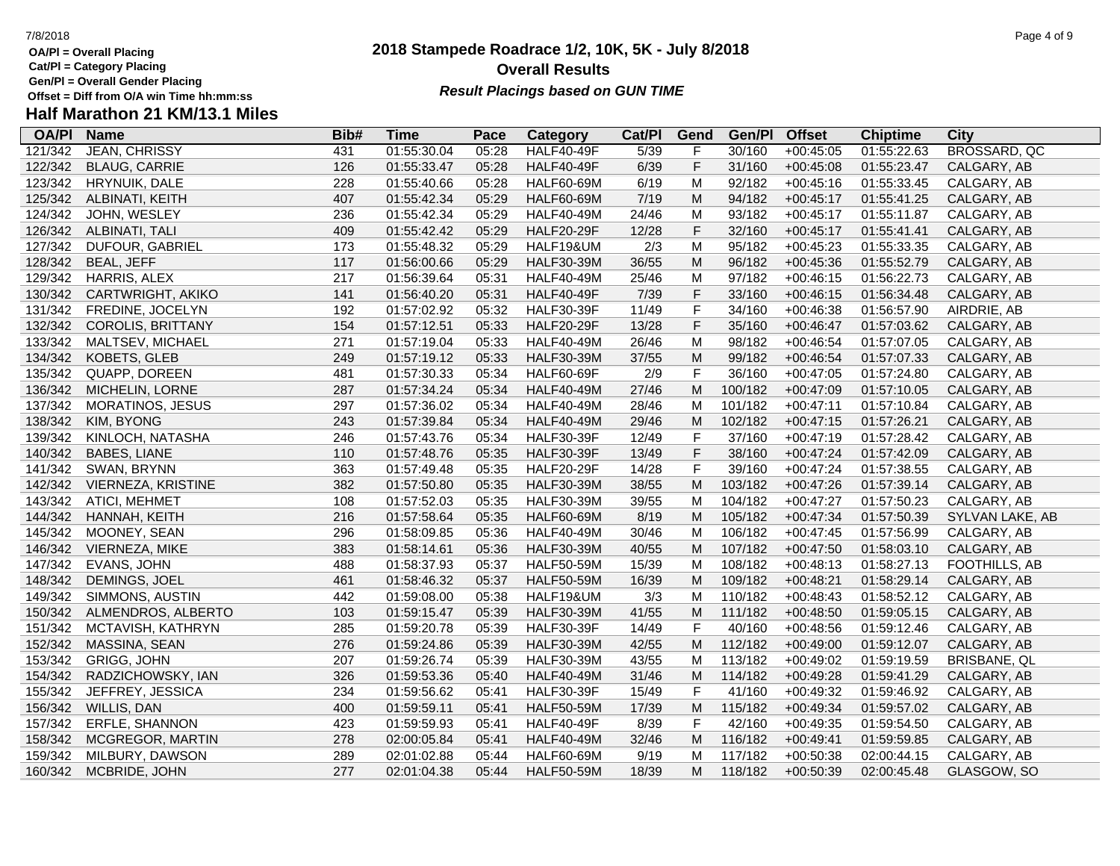**OA/Pl = Overall Placing**

**Cat/Pl = Category Placing**

**Gen/Pl = Overall Gender Placing**

### **2018 Stampede Roadrace 1/2, 10K, 5K - July 8/2018** 7/8/2018 Page 4 of 9 **Overall Results Result Placings based on GUN TIME**

| <b>OA/PI</b> | <b>Name</b>              | Bib# | Time        | Pace  | Category          | Cat/PI | Gend           | Gen/Pl  | <b>Offset</b> | <b>Chiptime</b> | City                |
|--------------|--------------------------|------|-------------|-------|-------------------|--------|----------------|---------|---------------|-----------------|---------------------|
| 121/342      | <b>JEAN, CHRISSY</b>     | 431  | 01:55:30.04 | 05:28 | <b>HALF40-49F</b> | 5/39   | F              | 30/160  | $+00:45:05$   | 01:55:22.63     | <b>BROSSARD, QC</b> |
| 122/342      | <b>BLAUG, CARRIE</b>     | 126  | 01:55:33.47 | 05:28 | <b>HALF40-49F</b> | 6/39   | F              | 31/160  | $+00:45:08$   | 01:55:23.47     | CALGARY, AB         |
| 123/342      | HRYNUIK, DALE            | 228  | 01:55:40.66 | 05:28 | <b>HALF60-69M</b> | 6/19   | M              | 92/182  | $+00:45:16$   | 01:55:33.45     | CALGARY, AB         |
| 125/342      | ALBINATI, KEITH          | 407  | 01:55:42.34 | 05:29 | <b>HALF60-69M</b> | 7/19   | M              | 94/182  | $+00:45:17$   | 01:55:41.25     | CALGARY, AB         |
| 124/342      | JOHN, WESLEY             | 236  | 01:55:42.34 | 05:29 | <b>HALF40-49M</b> | 24/46  | M              | 93/182  | $+00:45:17$   | 01:55:11.87     | CALGARY, AB         |
| 126/342      | ALBINATI, TALI           | 409  | 01:55:42.42 | 05:29 | <b>HALF20-29F</b> | 12/28  | $\mathsf F$    | 32/160  | $+00:45:17$   | 01:55:41.41     | CALGARY, AB         |
| 127/342      | DUFOUR, GABRIEL          | 173  | 01:55:48.32 | 05:29 | HALF19&UM         | 2/3    | M              | 95/182  | $+00:45:23$   | 01:55:33.35     | CALGARY, AB         |
| 128/342      | <b>BEAL, JEFF</b>        | 117  | 01:56:00.66 | 05:29 | <b>HALF30-39M</b> | 36/55  | M              | 96/182  | $+00:45:36$   | 01:55:52.79     | CALGARY, AB         |
| 129/342      | HARRIS, ALEX             | 217  | 01:56:39.64 | 05:31 | <b>HALF40-49M</b> | 25/46  | M              | 97/182  | $+00:46:15$   | 01:56:22.73     | CALGARY, AB         |
| 130/342      | CARTWRIGHT, AKIKO        | 141  | 01:56:40.20 | 05:31 | <b>HALF40-49F</b> | 7/39   | $\mathsf F$    | 33/160  | $+00:46:15$   | 01:56:34.48     | CALGARY, AB         |
| 131/342      | FREDINE, JOCELYN         | 192  | 01:57:02.92 | 05:32 | <b>HALF30-39F</b> | 11/49  | F              | 34/160  | $+00:46:38$   | 01:56:57.90     | AIRDRIE, AB         |
| 132/342      | <b>COROLIS, BRITTANY</b> | 154  | 01:57:12.51 | 05:33 | <b>HALF20-29F</b> | 13/28  | F              | 35/160  | $+00:46:47$   | 01:57:03.62     | CALGARY, AB         |
| 133/342      | MALTSEV, MICHAEL         | 271  | 01:57:19.04 | 05:33 | <b>HALF40-49M</b> | 26/46  | M              | 98/182  | $+00:46:54$   | 01:57:07.05     | CALGARY, AB         |
| 134/342      | KOBETS, GLEB             | 249  | 01:57:19.12 | 05:33 | <b>HALF30-39M</b> | 37/55  | ${\sf M}$      | 99/182  | $+00:46:54$   | 01:57:07.33     | CALGARY, AB         |
| 135/342      | QUAPP, DOREEN            | 481  | 01:57:30.33 | 05:34 | HALF60-69F        | 2/9    | $\mathsf{F}$   | 36/160  | $+00:47:05$   | 01:57:24.80     | CALGARY, AB         |
| 136/342      | MICHELIN, LORNE          | 287  | 01:57:34.24 | 05:34 | <b>HALF40-49M</b> | 27/46  | M              | 100/182 | $+00:47:09$   | 01:57:10.05     | CALGARY, AB         |
| 137/342      | <b>MORATINOS, JESUS</b>  | 297  | 01:57:36.02 | 05:34 | <b>HALF40-49M</b> | 28/46  | М              | 101/182 | $+00:47:11$   | 01:57:10.84     | CALGARY, AB         |
| 138/342      | KIM, BYONG               | 243  | 01:57:39.84 | 05:34 | <b>HALF40-49M</b> | 29/46  | M              | 102/182 | $+00:47:15$   | 01:57:26.21     | CALGARY, AB         |
| 139/342      | KINLOCH, NATASHA         | 246  | 01:57:43.76 | 05:34 | <b>HALF30-39F</b> | 12/49  | $\mathsf{F}$   | 37/160  | $+00:47:19$   | 01:57:28.42     | CALGARY, AB         |
| 140/342      | <b>BABES, LIANE</b>      | 110  | 01:57:48.76 | 05:35 | <b>HALF30-39F</b> | 13/49  | $\mathsf F$    | 38/160  | $+00:47:24$   | 01:57:42.09     | CALGARY, AB         |
| 141/342      | SWAN, BRYNN              | 363  | 01:57:49.48 | 05:35 | <b>HALF20-29F</b> | 14/28  | $\overline{F}$ | 39/160  | $+00:47:24$   | 01:57:38.55     | CALGARY, AB         |
| 142/342      | VIERNEZA, KRISTINE       | 382  | 01:57:50.80 | 05:35 | <b>HALF30-39M</b> | 38/55  | M              | 103/182 | $+00:47:26$   | 01:57:39.14     | CALGARY, AB         |
| 143/342      | ATICI, MEHMET            | 108  | 01:57:52.03 | 05:35 | <b>HALF30-39M</b> | 39/55  | м              | 104/182 | $+00:47:27$   | 01:57:50.23     | CALGARY, AB         |
| 144/342      | HANNAH, KEITH            | 216  | 01:57:58.64 | 05:35 | <b>HALF60-69M</b> | 8/19   | M              | 105/182 | $+00:47:34$   | 01:57:50.39     | SYLVAN LAKE, AB     |
| 145/342      | MOONEY, SEAN             | 296  | 01:58:09.85 | 05:36 | <b>HALF40-49M</b> | 30/46  | M              | 106/182 | $+00:47:45$   | 01:57:56.99     | CALGARY, AB         |
| 146/342      | VIERNEZA, MIKE           | 383  | 01:58:14.61 | 05:36 | <b>HALF30-39M</b> | 40/55  | М              | 107/182 | $+00:47:50$   | 01:58:03.10     | CALGARY, AB         |
| 147/342      | EVANS, JOHN              | 488  | 01:58:37.93 | 05:37 | <b>HALF50-59M</b> | 15/39  | M              | 108/182 | $+00:48:13$   | 01:58:27.13     | FOOTHILLS, AB       |
| 148/342      | DEMINGS, JOEL            | 461  | 01:58:46.32 | 05:37 | <b>HALF50-59M</b> | 16/39  | M              | 109/182 | $+00:48:21$   | 01:58:29.14     | CALGARY, AB         |
| 149/342      | SIMMONS, AUSTIN          | 442  | 01:59:08.00 | 05:38 | HALF19&UM         | 3/3    | м              | 110/182 | $+00:48:43$   | 01:58:52.12     | CALGARY, AB         |
| 150/342      | ALMENDROS, ALBERTO       | 103  | 01:59:15.47 | 05:39 | <b>HALF30-39M</b> | 41/55  | M              | 111/182 | $+00:48:50$   | 01:59:05.15     | CALGARY, AB         |
| 151/342      | MCTAVISH, KATHRYN        | 285  | 01:59:20.78 | 05:39 | <b>HALF30-39F</b> | 14/49  | $\mathsf{F}$   | 40/160  | $+00:48:56$   | 01:59:12.46     | CALGARY, AB         |
| 152/342      | MASSINA, SEAN            | 276  | 01:59:24.86 | 05:39 | <b>HALF30-39M</b> | 42/55  | M              | 112/182 | $+00:49:00$   | 01:59:12.07     | CALGARY, AB         |
| 153/342      | <b>GRIGG, JOHN</b>       | 207  | 01:59:26.74 | 05:39 | <b>HALF30-39M</b> | 43/55  | M              | 113/182 | $+00:49:02$   | 01:59:19.59     | BRISBANE, QL        |
| 154/342      | RADZICHOWSKY, IAN        | 326  | 01:59:53.36 | 05:40 | <b>HALF40-49M</b> | 31/46  | M              | 114/182 | $+00:49:28$   | 01:59:41.29     | CALGARY, AB         |
| 155/342      | JEFFREY, JESSICA         | 234  | 01:59:56.62 | 05:41 | <b>HALF30-39F</b> | 15/49  | $\mathsf{F}$   | 41/160  | $+00:49:32$   | 01:59:46.92     | CALGARY, AB         |
| 156/342      | WILLIS, DAN              | 400  | 01:59:59.11 | 05:41 | <b>HALF50-59M</b> | 17/39  | M              | 115/182 | $+00:49:34$   | 01:59:57.02     | CALGARY, AB         |
| 157/342      | ERFLE, SHANNON           | 423  | 01:59:59.93 | 05:41 | <b>HALF40-49F</b> | 8/39   | $\mathsf F$    | 42/160  | $+00:49:35$   | 01:59:54.50     | CALGARY, AB         |
| 158/342      | MCGREGOR, MARTIN         | 278  | 02:00:05.84 | 05:41 | <b>HALF40-49M</b> | 32/46  | M              | 116/182 | $+00:49:41$   | 01:59:59.85     | CALGARY, AB         |
| 159/342      | MILBURY, DAWSON          | 289  | 02:01:02.88 | 05:44 | <b>HALF60-69M</b> | 9/19   | M              | 117/182 | $+00:50:38$   | 02:00:44.15     | CALGARY, AB         |
| 160/342      | MCBRIDE, JOHN            | 277  | 02:01:04.38 | 05:44 | <b>HALF50-59M</b> | 18/39  | M              | 118/182 | $+00:50:39$   | 02:00:45.48     | GLASGOW, SO         |
|              |                          |      |             |       |                   |        |                |         |               |                 |                     |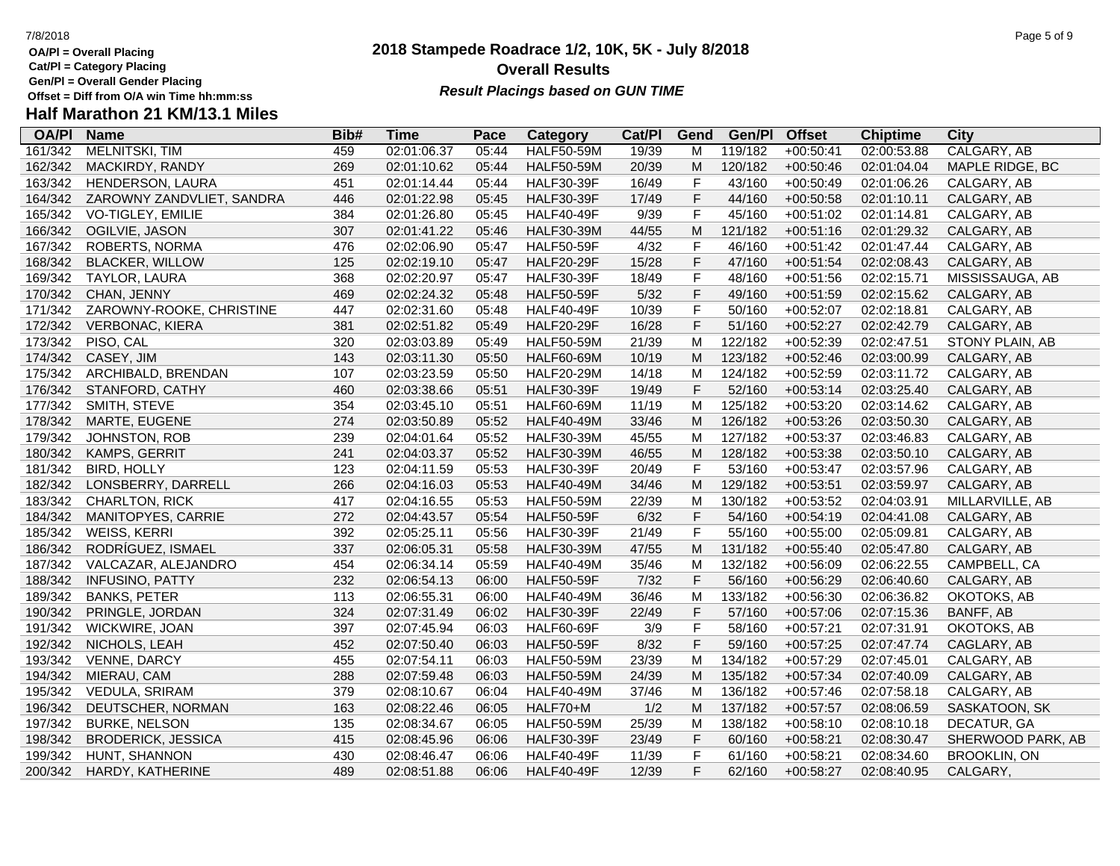- **OA/Pl = Overall Placing**
- **Cat/Pl = Category Placing**
- **Gen/Pl = Overall Gender Placing**

### **2018 Stampede Roadrace 1/2, 10K, 5K - July 8/2018** 7/8/2018 Page 5 of 9 **Overall Results Result Placings based on GUN TIME**

| <b>OA/PI</b> | <b>Name</b>               | Bib# | Time        | Pace  | Category          | Cat/Pl | Gend        | Gen/Pl  | <b>Offset</b> | <b>Chiptime</b> | City                |
|--------------|---------------------------|------|-------------|-------|-------------------|--------|-------------|---------|---------------|-----------------|---------------------|
| 161/342      | <b>MELNITSKI, TIM</b>     | 459  | 02:01:06.37 | 05:44 | <b>HALF50-59M</b> | 19/39  | м           | 119/182 | $+00:50:41$   | 02:00:53.88     | CALGARY, AB         |
| 162/342      | MACKIRDY, RANDY           | 269  | 02:01:10.62 | 05:44 | <b>HALF50-59M</b> | 20/39  | M           | 120/182 | $+00:50:46$   | 02:01:04.04     | MAPLE RIDGE, BC     |
| 163/342      | HENDERSON, LAURA          | 451  | 02:01:14.44 | 05:44 | <b>HALF30-39F</b> | 16/49  | F           | 43/160  | $+00:50:49$   | 02:01:06.26     | CALGARY, AB         |
| 164/342      | ZAROWNY ZANDVLIET, SANDRA | 446  | 02:01:22.98 | 05:45 | <b>HALF30-39F</b> | 17/49  | F           | 44/160  | $+00:50:58$   | 02:01:10.11     | CALGARY, AB         |
| 165/342      | VO-TIGLEY, EMILIE         | 384  | 02:01:26.80 | 05:45 | <b>HALF40-49F</b> | 9/39   | F           | 45/160  | $+00:51:02$   | 02:01:14.81     | CALGARY, AB         |
| 166/342      | OGILVIE, JASON            | 307  | 02:01:41.22 | 05:46 | <b>HALF30-39M</b> | 44/55  | M           | 121/182 | $+00:51:16$   | 02:01:29.32     | CALGARY, AB         |
| 167/342      | ROBERTS, NORMA            | 476  | 02:02:06.90 | 05:47 | <b>HALF50-59F</b> | 4/32   | $\mathsf F$ | 46/160  | $+00:51:42$   | 02:01:47.44     | CALGARY, AB         |
| 168/342      | <b>BLACKER, WILLOW</b>    | 125  | 02:02:19.10 | 05:47 | <b>HALF20-29F</b> | 15/28  | F           | 47/160  | $+00:51:54$   | 02:02:08.43     | CALGARY, AB         |
| 169/342      | TAYLOR, LAURA             | 368  | 02:02:20.97 | 05:47 | <b>HALF30-39F</b> | 18/49  | $\mathsf F$ | 48/160  | $+00:51:56$   | 02:02:15.71     | MISSISSAUGA, AB     |
| 170/342      | CHAN, JENNY               | 469  | 02:02:24.32 | 05:48 | <b>HALF50-59F</b> | 5/32   | F           | 49/160  | $+00:51:59$   | 02:02:15.62     | CALGARY, AB         |
| 171/342      | ZAROWNY-ROOKE, CHRISTINE  | 447  | 02:02:31.60 | 05:48 | <b>HALF40-49F</b> | 10/39  | F           | 50/160  | $+00:52:07$   | 02:02:18.81     | CALGARY, AB         |
| 172/342      | VERBONAC, KIERA           | 381  | 02:02:51.82 | 05:49 | <b>HALF20-29F</b> | 16/28  | F           | 51/160  | $+00:52:27$   | 02:02:42.79     | CALGARY, AB         |
| 173/342      | PISO, CAL                 | 320  | 02:03:03.89 | 05:49 | <b>HALF50-59M</b> | 21/39  | M           | 122/182 | $+00:52:39$   | 02:02:47.51     | STONY PLAIN, AB     |
| 174/342      | CASEY, JIM                | 143  | 02:03:11.30 | 05:50 | <b>HALF60-69M</b> | 10/19  | M           | 123/182 | $+00:52:46$   | 02:03:00.99     | CALGARY, AB         |
| 175/342      | ARCHIBALD, BRENDAN        | 107  | 02:03:23.59 | 05:50 | <b>HALF20-29M</b> | 14/18  | M           | 124/182 | $+00:52:59$   | 02:03:11.72     | CALGARY, AB         |
| 176/342      | STANFORD, CATHY           | 460  | 02:03:38.66 | 05:51 | <b>HALF30-39F</b> | 19/49  | $\mathsf F$ | 52/160  | $+00:53:14$   | 02:03:25.40     | CALGARY, AB         |
| 177/342      | SMITH, STEVE              | 354  | 02:03:45.10 | 05:51 | <b>HALF60-69M</b> | 11/19  | M           | 125/182 | $+00:53:20$   | 02:03:14.62     | CALGARY, AB         |
| 178/342      | MARTE, EUGENE             | 274  | 02:03:50.89 | 05:52 | <b>HALF40-49M</b> | 33/46  | M           | 126/182 | $+00:53:26$   | 02:03:50.30     | CALGARY, AB         |
| 179/342      | JOHNSTON, ROB             | 239  | 02:04:01.64 | 05:52 | <b>HALF30-39M</b> | 45/55  | M           | 127/182 | $+00:53:37$   | 02:03:46.83     | CALGARY, AB         |
| 180/342      | KAMPS, GERRIT             | 241  | 02:04:03.37 | 05:52 | <b>HALF30-39M</b> | 46/55  | M           | 128/182 | $+00:53:38$   | 02:03:50.10     | CALGARY, AB         |
| 181/342      | <b>BIRD, HOLLY</b>        | 123  | 02:04:11.59 | 05:53 | <b>HALF30-39F</b> | 20/49  | F           | 53/160  | $+00:53:47$   | 02:03:57.96     | CALGARY, AB         |
| 182/342      | LONSBERRY, DARRELL        | 266  | 02:04:16.03 | 05:53 | <b>HALF40-49M</b> | 34/46  | M           | 129/182 | $+00:53:51$   | 02:03:59.97     | CALGARY, AB         |
| 183/342      | <b>CHARLTON, RICK</b>     | 417  | 02:04:16.55 | 05:53 | <b>HALF50-59M</b> | 22/39  | M           | 130/182 | $+00:53:52$   | 02:04:03.91     | MILLARVILLE, AB     |
| 184/342      | MANITOPYES, CARRIE        | 272  | 02:04:43.57 | 05:54 | <b>HALF50-59F</b> | 6/32   | F           | 54/160  | $+00:54:19$   | 02:04:41.08     | CALGARY, AB         |
| 185/342      | WEISS, KERRI              | 392  | 02:05:25.11 | 05:56 | <b>HALF30-39F</b> | 21/49  | F           | 55/160  | $+00:55:00$   | 02:05:09.81     | CALGARY, AB         |
| 186/342      | RODRÍGUEZ, ISMAEL         | 337  | 02:06:05.31 | 05:58 | <b>HALF30-39M</b> | 47/55  | M           | 131/182 | $+00:55:40$   | 02:05:47.80     | CALGARY, AB         |
| 187/342      | VALCAZAR, ALEJANDRO       | 454  | 02:06:34.14 | 05:59 | <b>HALF40-49M</b> | 35/46  | M           | 132/182 | $+00:56:09$   | 02:06:22.55     | CAMPBELL, CA        |
| 188/342      | <b>INFUSINO, PATTY</b>    | 232  | 02:06:54.13 | 06:00 | <b>HALF50-59F</b> | $7/32$ | F           | 56/160  | $+00:56:29$   | 02:06:40.60     | CALGARY, AB         |
| 189/342      | <b>BANKS, PETER</b>       | 113  | 02:06:55.31 | 06:00 | <b>HALF40-49M</b> | 36/46  | M           | 133/182 | $+00:56:30$   | 02:06:36.82     | OKOTOKS, AB         |
| 190/342      | PRINGLE, JORDAN           | 324  | 02:07:31.49 | 06:02 | <b>HALF30-39F</b> | 22/49  | F           | 57/160  | $+00:57:06$   | 02:07:15.36     | BANFF, AB           |
| 191/342      | WICKWIRE, JOAN            | 397  | 02:07:45.94 | 06:03 | <b>HALF60-69F</b> | 3/9    | F           | 58/160  | $+00:57:21$   | 02:07:31.91     | OKOTOKS, AB         |
| 192/342      | NICHOLS, LEAH             | 452  | 02:07:50.40 | 06:03 | <b>HALF50-59F</b> | 8/32   | F           | 59/160  | $+00:57:25$   | 02:07:47.74     | CAGLARY, AB         |
| 193/342      | VENNE, DARCY              | 455  | 02:07:54.11 | 06:03 | <b>HALF50-59M</b> | 23/39  | M           | 134/182 | $+00:57:29$   | 02:07:45.01     | CALGARY, AB         |
| 194/342      | MIERAU, CAM               | 288  | 02:07:59.48 | 06:03 | <b>HALF50-59M</b> | 24/39  | M           | 135/182 | $+00:57:34$   | 02:07:40.09     | CALGARY, AB         |
| 195/342      | VEDULA, SRIRAM            | 379  | 02:08:10.67 | 06:04 | <b>HALF40-49M</b> | 37/46  | M           | 136/182 | $+00:57:46$   | 02:07:58.18     | CALGARY, AB         |
| 196/342      | DEUTSCHER, NORMAN         | 163  | 02:08:22.46 | 06:05 | HALF70+M          | 1/2    | ${\sf M}$   | 137/182 | $+00:57:57$   | 02:08:06.59     | SASKATOON, SK       |
| 197/342      | <b>BURKE, NELSON</b>      | 135  | 02:08:34.67 | 06:05 | <b>HALF50-59M</b> | 25/39  | M           | 138/182 | $+00:58:10$   | 02:08:10.18     | DECATUR, GA         |
| 198/342      | <b>BRODERICK, JESSICA</b> | 415  | 02:08:45.96 | 06:06 | <b>HALF30-39F</b> | 23/49  | F           | 60/160  | $+00:58:21$   | 02:08:30.47     | SHERWOOD PARK, AB   |
| 199/342      | HUNT, SHANNON             | 430  | 02:08:46.47 | 06:06 | <b>HALF40-49F</b> | 11/39  | F           | 61/160  | $+00:58:21$   | 02:08:34.60     | <b>BROOKLIN, ON</b> |
| 200/342      | HARDY, KATHERINE          | 489  | 02:08:51.88 | 06:06 | <b>HALF40-49F</b> | 12/39  | F           | 62/160  | $+00:58:27$   | 02:08:40.95     | CALGARY,            |
|              |                           |      |             |       |                   |        |             |         |               |                 |                     |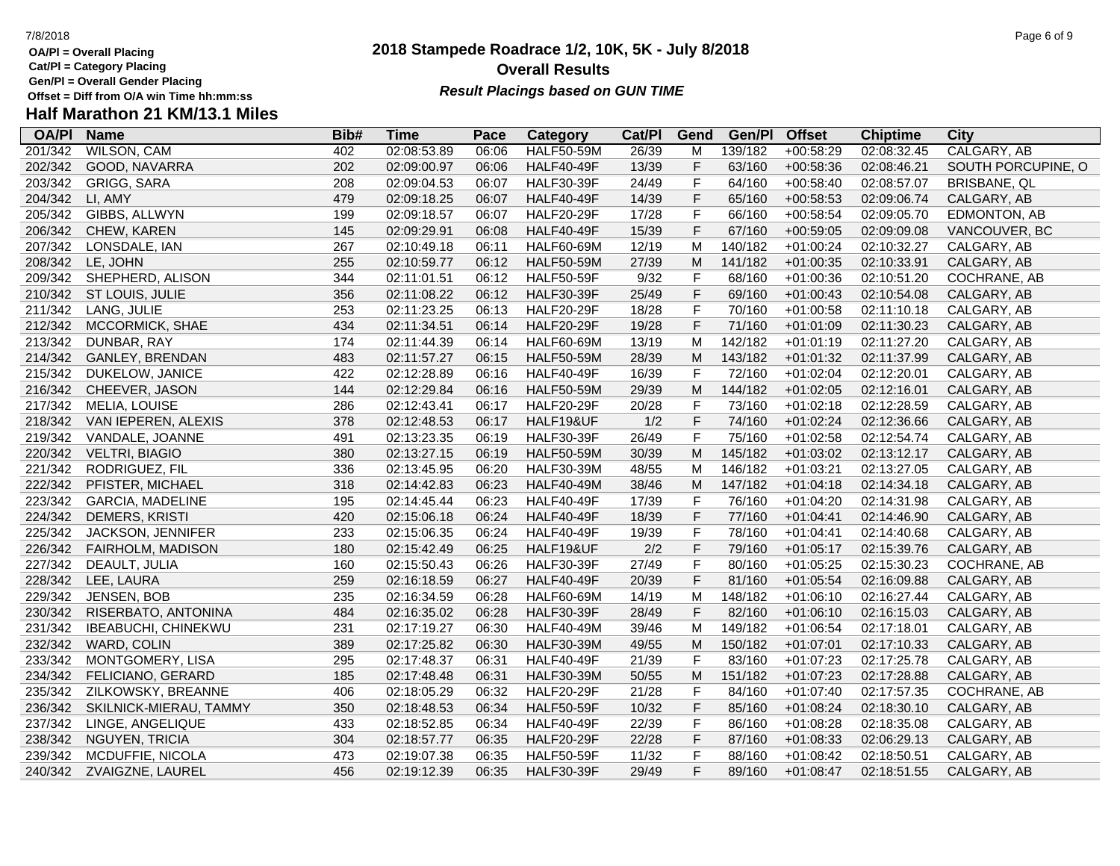**OA/Pl = Overall Placing**

**Cat/Pl = Category Placing**

**Gen/Pl = Overall Gender Placing**

# **Half Marathon 21 KM/13.1 Miles**

| <b>OA/PI</b> | <b>Name</b>                | Bib# | <b>Time</b> | Pace  | <b>Category</b>   | Cat/PI | Gend        | Gen/Pl  | <b>Offset</b> | <b>Chiptime</b> | <b>City</b>         |
|--------------|----------------------------|------|-------------|-------|-------------------|--------|-------------|---------|---------------|-----------------|---------------------|
| 201/342      | <b>WILSON, CAM</b>         | 402  | 02:08:53.89 | 06:06 | <b>HALF50-59M</b> | 26/39  | M           | 139/182 | $+00:58:29$   | 02:08:32.45     | CALGARY, AB         |
| 202/342      | GOOD, NAVARRA              | 202  | 02:09:00.97 | 06:06 | <b>HALF40-49F</b> | 13/39  | $\mathsf F$ | 63/160  | $+00:58:36$   | 02:08:46.21     | SOUTH PORCUPINE, O  |
| 203/342      | <b>GRIGG, SARA</b>         | 208  | 02:09:04.53 | 06:07 | <b>HALF30-39F</b> | 24/49  | $\mathsf F$ | 64/160  | $+00:58:40$   | 02:08:57.07     | <b>BRISBANE, QL</b> |
| 204/342      | LI, AMY                    | 479  | 02:09:18.25 | 06:07 | <b>HALF40-49F</b> | 14/39  | $\mathsf F$ | 65/160  | $+00:58:53$   | 02:09:06.74     | CALGARY, AB         |
| 205/342      | GIBBS, ALLWYN              | 199  | 02:09:18.57 | 06:07 | <b>HALF20-29F</b> | 17/28  | $\mathsf F$ | 66/160  | $+00:58:54$   | 02:09:05.70     | EDMONTON, AB        |
| 206/342      | CHEW, KAREN                | 145  | 02:09:29.91 | 06:08 | <b>HALF40-49F</b> | 15/39  | $\mathsf F$ | 67/160  | $+00:59:05$   | 02:09:09.08     | VANCOUVER, BC       |
| 207/342      | LONSDALE, IAN              | 267  | 02:10:49.18 | 06:11 | <b>HALF60-69M</b> | 12/19  | M           | 140/182 | $+01:00:24$   | 02:10:32.27     | CALGARY, AB         |
| 208/342      | LE, JOHN                   | 255  | 02:10:59.77 | 06:12 | <b>HALF50-59M</b> | 27/39  | M           | 141/182 | $+01:00:35$   | 02:10:33.91     | CALGARY, AB         |
| 209/342      | SHEPHERD, ALISON           | 344  | 02:11:01.51 | 06:12 | <b>HALF50-59F</b> | 9/32   | F           | 68/160  | $+01:00:36$   | 02:10:51.20     | COCHRANE, AB        |
| 210/342      | ST LOUIS, JULIE            | 356  | 02:11:08.22 | 06:12 | <b>HALF30-39F</b> | 25/49  | $\mathsf F$ | 69/160  | $+01:00:43$   | 02:10:54.08     | CALGARY, AB         |
| 211/342      | LANG, JULIE                | 253  | 02:11:23.25 | 06:13 | <b>HALF20-29F</b> | 18/28  | $\mathsf F$ | 70/160  | $+01:00:58$   | 02:11:10.18     | CALGARY, AB         |
| 212/342      | MCCORMICK, SHAE            | 434  | 02:11:34.51 | 06:14 | <b>HALF20-29F</b> | 19/28  | $\mathsf F$ | 71/160  | $+01:01:09$   | 02:11:30.23     | CALGARY, AB         |
| 213/342      | DUNBAR, RAY                | 174  | 02:11:44.39 | 06:14 | <b>HALF60-69M</b> | 13/19  | M           | 142/182 | $+01:01:19$   | 02:11:27.20     | CALGARY, AB         |
| 214/342      | GANLEY, BRENDAN            | 483  | 02:11:57.27 | 06:15 | <b>HALF50-59M</b> | 28/39  | M           | 143/182 | $+01:01:32$   | 02:11:37.99     | CALGARY, AB         |
| 215/342      | DUKELOW, JANICE            | 422  | 02:12:28.89 | 06:16 | <b>HALF40-49F</b> | 16/39  | $\mathsf F$ | 72/160  | $+01:02:04$   | 02:12:20.01     | CALGARY, AB         |
| 216/342      | CHEEVER, JASON             | 144  | 02:12:29.84 | 06:16 | <b>HALF50-59M</b> | 29/39  | M           | 144/182 | $+01:02:05$   | 02:12:16.01     | CALGARY, AB         |
| 217/342      | MELIA, LOUISE              | 286  | 02:12:43.41 | 06:17 | <b>HALF20-29F</b> | 20/28  | $\mathsf F$ | 73/160  | $+01:02:18$   | 02:12:28.59     | CALGARY, AB         |
| 218/342      | VAN IEPEREN, ALEXIS        | 378  | 02:12:48.53 | 06:17 | HALF19&UF         | 1/2    | $\mathsf F$ | 74/160  | $+01:02:24$   | 02:12:36.66     | CALGARY, AB         |
| 219/342      | VANDALE, JOANNE            | 491  | 02:13:23.35 | 06:19 | <b>HALF30-39F</b> | 26/49  | $\mathsf F$ | 75/160  | $+01:02:58$   | 02:12:54.74     | CALGARY, AB         |
| 220/342      | <b>VELTRI, BIAGIO</b>      | 380  | 02:13:27.15 | 06:19 | <b>HALF50-59M</b> | 30/39  | M           | 145/182 | $+01:03:02$   | 02:13:12.17     | CALGARY, AB         |
| 221/342      | RODRIGUEZ, FIL             | 336  | 02:13:45.95 | 06:20 | <b>HALF30-39M</b> | 48/55  | M           | 146/182 | $+01:03:21$   | 02:13:27.05     | CALGARY, AB         |
| 222/342      | PFISTER, MICHAEL           | 318  | 02:14:42.83 | 06:23 | <b>HALF40-49M</b> | 38/46  | M           | 147/182 | $+01:04:18$   | 02:14:34.18     | CALGARY, AB         |
| 223/342      | <b>GARCIA, MADELINE</b>    | 195  | 02:14:45.44 | 06:23 | <b>HALF40-49F</b> | 17/39  | $\mathsf F$ | 76/160  | $+01:04:20$   | 02:14:31.98     | CALGARY, AB         |
| 224/342      | <b>DEMERS, KRISTI</b>      | 420  | 02:15:06.18 | 06:24 | <b>HALF40-49F</b> | 18/39  | $\mathsf F$ | 77/160  | $+01:04:41$   | 02:14:46.90     | CALGARY, AB         |
| 225/342      | JACKSON, JENNIFER          | 233  | 02:15:06.35 | 06:24 | <b>HALF40-49F</b> | 19/39  | $\mathsf F$ | 78/160  | $+01:04:41$   | 02:14:40.68     | CALGARY, AB         |
| 226/342      | FAIRHOLM, MADISON          | 180  | 02:15:42.49 | 06:25 | HALF19&UF         | 2/2    | $\mathsf F$ | 79/160  | $+01:05:17$   | 02:15:39.76     | CALGARY, AB         |
| 227/342      | DEAULT, JULIA              | 160  | 02:15:50.43 | 06:26 | <b>HALF30-39F</b> | 27/49  | $\mathsf F$ | 80/160  | $+01:05:25$   | 02:15:30.23     | COCHRANE, AB        |
| 228/342      | LEE, LAURA                 | 259  | 02:16:18.59 | 06:27 | <b>HALF40-49F</b> | 20/39  | $\mathsf F$ | 81/160  | $+01:05:54$   | 02:16:09.88     | CALGARY, AB         |
| 229/342      | JENSEN, BOB                | 235  | 02:16:34.59 | 06:28 | <b>HALF60-69M</b> | 14/19  | M           | 148/182 | $+01:06:10$   | 02:16:27.44     | CALGARY, AB         |
| 230/342      | RISERBATO, ANTONINA        | 484  | 02:16:35.02 | 06:28 | <b>HALF30-39F</b> | 28/49  | $\mathsf F$ | 82/160  | $+01:06:10$   | 02:16:15.03     | CALGARY, AB         |
| 231/342      | <b>IBEABUCHI, CHINEKWU</b> | 231  | 02:17:19.27 | 06:30 | <b>HALF40-49M</b> | 39/46  | M           | 149/182 | $+01:06:54$   | 02:17:18.01     | CALGARY, AB         |
| 232/342      | WARD, COLIN                | 389  | 02:17:25.82 | 06:30 | <b>HALF30-39M</b> | 49/55  | M           | 150/182 | $+01:07:01$   | 02:17:10.33     | CALGARY, AB         |
| 233/342      | MONTGOMERY, LISA           | 295  | 02:17:48.37 | 06:31 | <b>HALF40-49F</b> | 21/39  | $\mathsf F$ | 83/160  | $+01:07:23$   | 02:17:25.78     | CALGARY, AB         |
| 234/342      | FELICIANO, GERARD          | 185  | 02:17:48.48 | 06:31 | <b>HALF30-39M</b> | 50/55  | M           | 151/182 | $+01:07:23$   | 02:17:28.88     | CALGARY, AB         |
| 235/342      | ZILKOWSKY, BREANNE         | 406  | 02:18:05.29 | 06:32 | <b>HALF20-29F</b> | 21/28  | $\mathsf F$ | 84/160  | $+01:07:40$   | 02:17:57.35     | COCHRANE, AB        |
| 236/342      | SKILNICK-MIERAU, TAMMY     | 350  | 02:18:48.53 | 06:34 | <b>HALF50-59F</b> | 10/32  | $\mathsf F$ | 85/160  | $+01:08:24$   | 02:18:30.10     | CALGARY, AB         |
| 237/342      | LINGE, ANGELIQUE           | 433  | 02:18:52.85 | 06:34 | <b>HALF40-49F</b> | 22/39  | $\mathsf F$ | 86/160  | $+01:08:28$   | 02:18:35.08     | CALGARY, AB         |
| 238/342      | <b>NGUYEN, TRICIA</b>      | 304  | 02:18:57.77 | 06:35 | <b>HALF20-29F</b> | 22/28  | $\mathsf F$ | 87/160  | $+01:08:33$   | 02:06:29.13     | CALGARY, AB         |
| 239/342      | MCDUFFIE, NICOLA           | 473  | 02:19:07.38 | 06:35 | <b>HALF50-59F</b> | 11/32  | $\mathsf F$ | 88/160  | $+01:08:42$   | 02:18:50.51     | CALGARY, AB         |
| 240/342      | ZVAIGZNE, LAUREL           | 456  | 02:19:12.39 | 06:35 | <b>HALF30-39F</b> | 29/49  | F           | 89/160  | $+01:08:47$   | 02:18:51.55     | CALGARY, AB         |

# **2018 Stampede Roadrace 1/2, 10K, 5K - July 8/2018 Overall Results**

**Result Placings based on GUN TIME**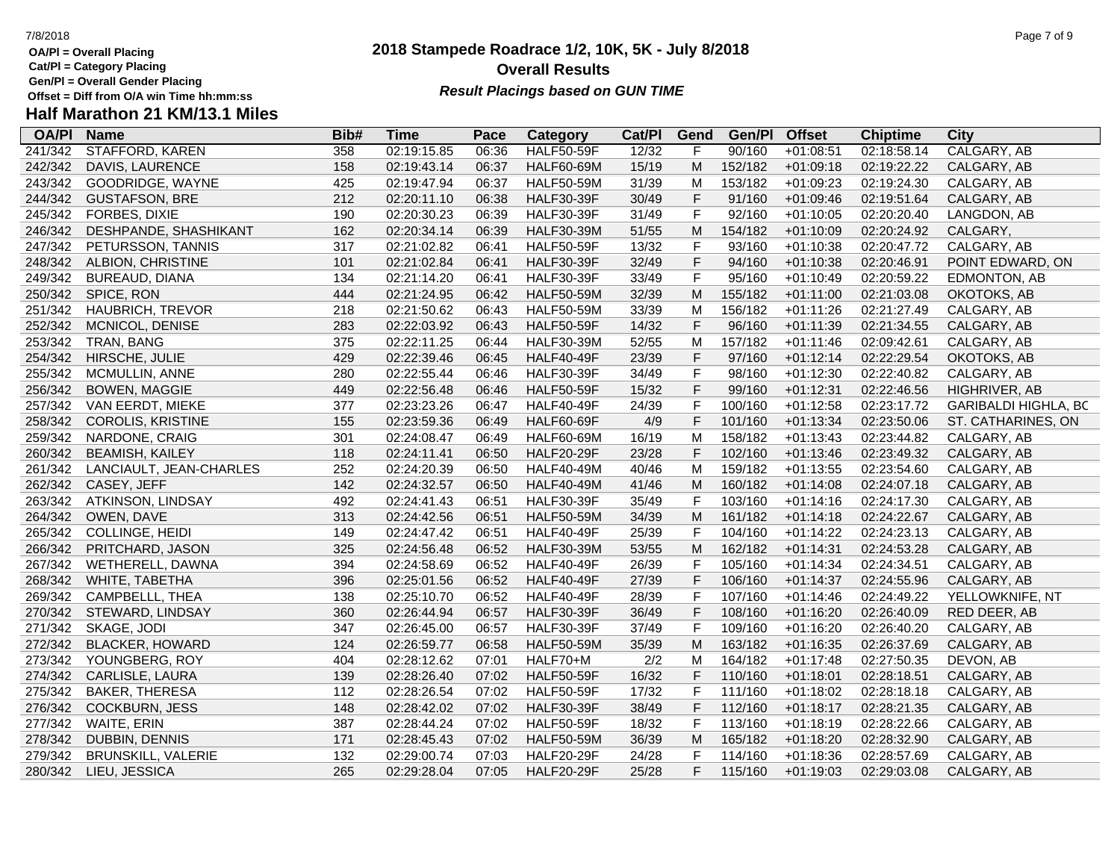- **OA/Pl = Overall Placing**
- **Cat/Pl = Category Placing**
- **Gen/Pl = Overall Gender Placing**

### **2018 Stampede Roadrace 1/2, 10K, 5K - July 8/2018** 7/8/2018 Page 7 of 9 **Overall Results Result Placings based on GUN TIME**

| <b>OA/PI</b> | <b>Name</b>               | Bib# | Time        | Pace  | Category          | Cat/PI | Gend         | Gen/Pl  | <b>Offset</b> | <b>Chiptime</b> | City                        |
|--------------|---------------------------|------|-------------|-------|-------------------|--------|--------------|---------|---------------|-----------------|-----------------------------|
| 241/342      | <b>STAFFORD, KAREN</b>    | 358  | 02:19:15.85 | 06:36 | <b>HALF50-59F</b> | 12/32  | F            | 90/160  | $+01:08:51$   | 02:18:58.14     | CALGARY, AB                 |
| 242/342      | DAVIS, LAURENCE           | 158  | 02:19:43.14 | 06:37 | <b>HALF60-69M</b> | 15/19  | M            | 152/182 | $+01:09:18$   | 02:19:22.22     | CALGARY, AB                 |
| 243/342      | GOODRIDGE, WAYNE          | 425  | 02:19:47.94 | 06:37 | <b>HALF50-59M</b> | 31/39  | M            | 153/182 | $+01:09:23$   | 02:19:24.30     | CALGARY, AB                 |
| 244/342      | <b>GUSTAFSON, BRE</b>     | 212  | 02:20:11.10 | 06:38 | <b>HALF30-39F</b> | 30/49  | F            | 91/160  | $+01:09:46$   | 02:19:51.64     | CALGARY, AB                 |
| 245/342      | FORBES, DIXIE             | 190  | 02:20:30.23 | 06:39 | <b>HALF30-39F</b> | 31/49  | $\mathsf F$  | 92/160  | $+01:10:05$   | 02:20:20.40     | LANGDON, AB                 |
| 246/342      | DESHPANDE, SHASHIKANT     | 162  | 02:20:34.14 | 06:39 | <b>HALF30-39M</b> | 51/55  | м            | 154/182 | $+01:10:09$   | 02:20:24.92     | CALGARY,                    |
| 247/342      | PETURSSON, TANNIS         | 317  | 02:21:02.82 | 06:41 | <b>HALF50-59F</b> | 13/32  | $\mathsf{F}$ | 93/160  | $+01:10:38$   | 02:20:47.72     | CALGARY, AB                 |
| 248/342      | ALBION, CHRISTINE         | 101  | 02:21:02.84 | 06:41 | <b>HALF30-39F</b> | 32/49  | $\mathsf F$  | 94/160  | $+01:10:38$   | 02:20:46.91     | POINT EDWARD, ON            |
| 249/342      | BUREAUD, DIANA            | 134  | 02:21:14.20 | 06:41 | <b>HALF30-39F</b> | 33/49  | $\mathsf F$  | 95/160  | $+01:10:49$   | 02:20:59.22     | EDMONTON, AB                |
| 250/342      | SPICE, RON                | 444  | 02:21:24.95 | 06:42 | <b>HALF50-59M</b> | 32/39  | M            | 155/182 | $+01:11:00$   | 02:21:03.08     | OKOTOKS, AB                 |
| 251/342      | <b>HAUBRICH, TREVOR</b>   | 218  | 02:21:50.62 | 06:43 | <b>HALF50-59M</b> | 33/39  | M            | 156/182 | $+01:11:26$   | 02:21:27.49     | CALGARY, AB                 |
| 252/342      | MCNICOL, DENISE           | 283  | 02:22:03.92 | 06:43 | <b>HALF50-59F</b> | 14/32  | F            | 96/160  | $+01:11:39$   | 02:21:34.55     | CALGARY, AB                 |
| 253/342      | TRAN, BANG                | 375  | 02:22:11.25 | 06:44 | <b>HALF30-39M</b> | 52/55  | M            | 157/182 | $+01:11:46$   | 02:09:42.61     | CALGARY, AB                 |
| 254/342      | HIRSCHE, JULIE            | 429  | 02:22:39.46 | 06:45 | <b>HALF40-49F</b> | 23/39  | $\mathsf F$  | 97/160  | $+01:12:14$   | 02:22:29.54     | OKOTOKS, AB                 |
| 255/342      | MCMULLIN, ANNE            | 280  | 02:22:55.44 | 06:46 | <b>HALF30-39F</b> | 34/49  | $\mathsf F$  | 98/160  | $+01:12:30$   | 02:22:40.82     | CALGARY, AB                 |
| 256/342      | <b>BOWEN, MAGGIE</b>      | 449  | 02:22:56.48 | 06:46 | <b>HALF50-59F</b> | 15/32  | $\mathsf F$  | 99/160  | $+01:12:31$   | 02:22:46.56     | HIGHRIVER, AB               |
| 257/342      | VAN EERDT, MIEKE          | 377  | 02:23:23.26 | 06:47 | <b>HALF40-49F</b> | 24/39  | $\mathsf F$  | 100/160 | $+01:12:58$   | 02:23:17.72     | <b>GARIBALDI HIGHLA, BC</b> |
| 258/342      | COROLIS, KRISTINE         | 155  | 02:23:59.36 | 06:49 | <b>HALF60-69F</b> | 4/9    | F            | 101/160 | $+01:13:34$   | 02:23:50.06     | ST. CATHARINES, ON          |
| 259/342      | NARDONE, CRAIG            | 301  | 02:24:08.47 | 06:49 | <b>HALF60-69M</b> | 16/19  | M            | 158/182 | $+01:13:43$   | 02:23:44.82     | CALGARY, AB                 |
| 260/342      | <b>BEAMISH, KAILEY</b>    | 118  | 02:24:11.41 | 06:50 | <b>HALF20-29F</b> | 23/28  | $\mathsf F$  | 102/160 | $+01:13:46$   | 02:23:49.32     | CALGARY, AB                 |
| 261/342      | LANCIAULT, JEAN-CHARLES   | 252  | 02:24:20.39 | 06:50 | <b>HALF40-49M</b> | 40/46  | M            | 159/182 | $+01:13:55$   | 02:23:54.60     | CALGARY, AB                 |
| 262/342      | CASEY, JEFF               | 142  | 02:24:32.57 | 06:50 | <b>HALF40-49M</b> | 41/46  | M            | 160/182 | $+01:14:08$   | 02:24:07.18     | CALGARY, AB                 |
| 263/342      | ATKINSON, LINDSAY         | 492  | 02:24:41.43 | 06:51 | <b>HALF30-39F</b> | 35/49  | $\mathsf F$  | 103/160 | $+01:14:16$   | 02:24:17.30     | CALGARY, AB                 |
| 264/342      | OWEN, DAVE                | 313  | 02:24:42.56 | 06:51 | <b>HALF50-59M</b> | 34/39  | M            | 161/182 | $+01:14:18$   | 02:24:22.67     | CALGARY, AB                 |
| 265/342      | COLLINGE, HEIDI           | 149  | 02:24:47.42 | 06:51 | <b>HALF40-49F</b> | 25/39  | $\mathsf{F}$ | 104/160 | $+01:14:22$   | 02:24:23.13     | CALGARY, AB                 |
| 266/342      | PRITCHARD, JASON          | 325  | 02:24:56.48 | 06:52 | <b>HALF30-39M</b> | 53/55  | M            | 162/182 | $+01:14:31$   | 02:24:53.28     | CALGARY, AB                 |
| 267/342      | WETHERELL, DAWNA          | 394  | 02:24:58.69 | 06:52 | <b>HALF40-49F</b> | 26/39  | $\mathsf F$  | 105/160 | $+01:14:34$   | 02:24:34.51     | CALGARY, AB                 |
| 268/342      | WHITE, TABETHA            | 396  | 02:25:01.56 | 06:52 | <b>HALF40-49F</b> | 27/39  | F            | 106/160 | $+01:14:37$   | 02:24:55.96     | CALGARY, AB                 |
| 269/342      | CAMPBELLL, THEA           | 138  | 02:25:10.70 | 06:52 | <b>HALF40-49F</b> | 28/39  | $\mathsf{F}$ | 107/160 | $+01:14:46$   | 02:24:49.22     | YELLOWKNIFE, NT             |
| 270/342      | STEWARD, LINDSAY          | 360  | 02:26:44.94 | 06:57 | <b>HALF30-39F</b> | 36/49  | $\mathsf F$  | 108/160 | $+01:16:20$   | 02:26:40.09     | RED DEER, AB                |
| 271/342      | SKAGE, JODI               | 347  | 02:26:45.00 | 06:57 | <b>HALF30-39F</b> | 37/49  | $\mathsf{F}$ | 109/160 | $+01:16:20$   | 02:26:40.20     | CALGARY, AB                 |
| 272/342      | <b>BLACKER, HOWARD</b>    | 124  | 02:26:59.77 | 06:58 | <b>HALF50-59M</b> | 35/39  | M            | 163/182 | $+01:16:35$   | 02:26:37.69     | CALGARY, AB                 |
| 273/342      | YOUNGBERG, ROY            | 404  | 02:28:12.62 | 07:01 | HALF70+M          | 2/2    | M            | 164/182 | $+01:17:48$   | 02:27:50.35     | DEVON, AB                   |
| 274/342      | CARLISLE, LAURA           | 139  | 02:28:26.40 | 07:02 | <b>HALF50-59F</b> | 16/32  | F            | 110/160 | $+01:18:01$   | 02:28:18.51     | CALGARY, AB                 |
| 275/342      | <b>BAKER, THERESA</b>     | 112  | 02:28:26.54 | 07:02 | <b>HALF50-59F</b> | 17/32  | $\mathsf{F}$ | 111/160 | $+01:18:02$   | 02:28:18.18     | CALGARY, AB                 |
| 276/342      | <b>COCKBURN, JESS</b>     | 148  | 02:28:42.02 | 07:02 | <b>HALF30-39F</b> | 38/49  | $\mathsf F$  | 112/160 | $+01:18:17$   | 02:28:21.35     | CALGARY, AB                 |
| 277/342      | WAITE, ERIN               | 387  | 02:28:44.24 | 07:02 | <b>HALF50-59F</b> | 18/32  | F            | 113/160 | $+01:18:19$   | 02:28:22.66     | CALGARY, AB                 |
| 278/342      | <b>DUBBIN, DENNIS</b>     | 171  | 02:28:45.43 | 07:02 | <b>HALF50-59M</b> | 36/39  | M            | 165/182 | $+01:18:20$   | 02:28:32.90     | CALGARY, AB                 |
| 279/342      | <b>BRUNSKILL, VALERIE</b> | 132  | 02:29:00.74 | 07:03 | <b>HALF20-29F</b> | 24/28  | $\mathsf{F}$ | 114/160 | $+01:18:36$   | 02:28:57.69     | CALGARY, AB                 |
| 280/342      | LIEU, JESSICA             | 265  | 02:29:28.04 | 07:05 | <b>HALF20-29F</b> | 25/28  | F            | 115/160 | $+01:19:03$   | 02:29:03.08     | CALGARY, AB                 |
|              |                           |      |             |       |                   |        |              |         |               |                 |                             |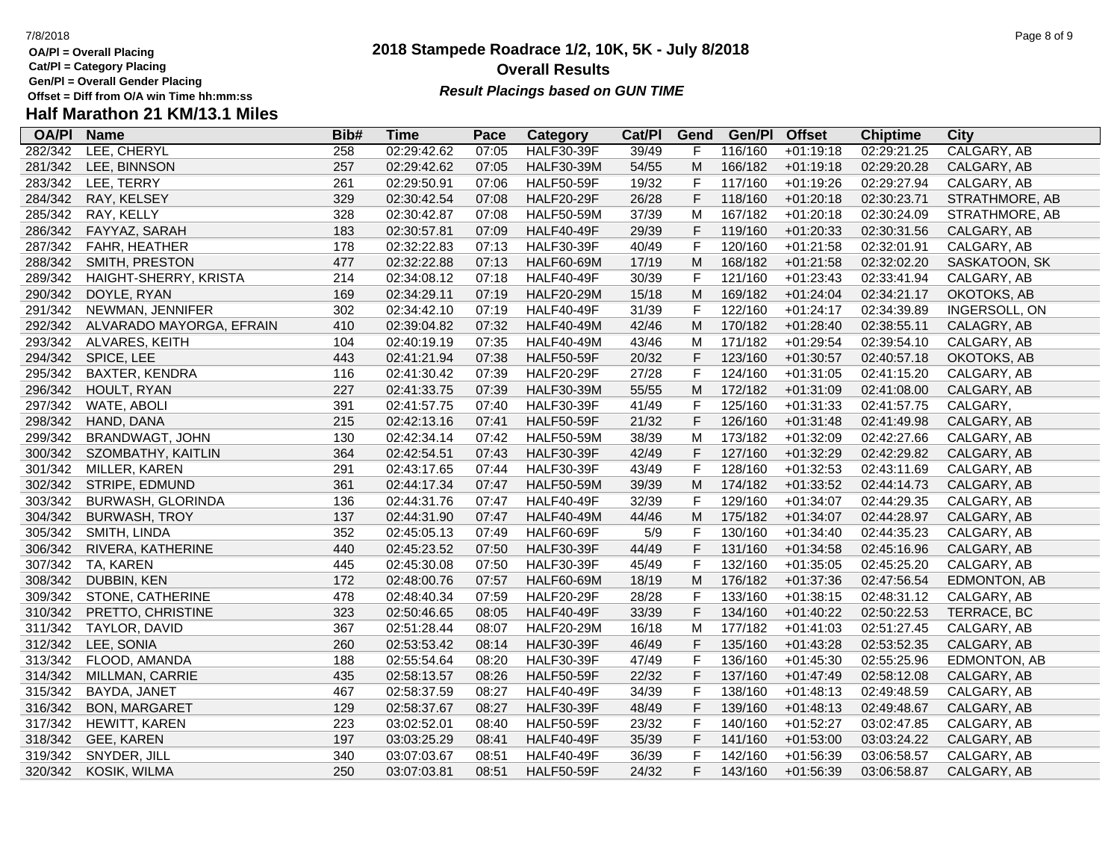**OA/Pl = Overall Placing**

**Cat/Pl = Category Placing**

**Gen/Pl = Overall Gender Placing**

# **Half Marathon 21 KM/13.1 Miles**

| <b>OA/PI</b> | <b>Name</b>              | Bib# | <b>Time</b> | Pace  | Category          | Cat/PI | Gend        | Gen/Pl  | <b>Offset</b> | <b>Chiptime</b> | <b>City</b>    |
|--------------|--------------------------|------|-------------|-------|-------------------|--------|-------------|---------|---------------|-----------------|----------------|
| 282/342      | LEE, CHERYL              | 258  | 02:29:42.62 | 07:05 | <b>HALF30-39F</b> | 39/49  | F           | 116/160 | $+01:19:18$   | 02:29:21.25     | CALGARY, AB    |
| 281/342      | LEE, BINNSON             | 257  | 02:29:42.62 | 07:05 | <b>HALF30-39M</b> | 54/55  | M           | 166/182 | $+01:19:18$   | 02:29:20.28     | CALGARY, AB    |
| 283/342      | LEE, TERRY               | 261  | 02:29:50.91 | 07:06 | <b>HALF50-59F</b> | 19/32  | F           | 117/160 | $+01:19:26$   | 02:29:27.94     | CALGARY, AB    |
| 284/342      | RAY, KELSEY              | 329  | 02:30:42.54 | 07:08 | <b>HALF20-29F</b> | 26/28  | $\mathsf F$ | 118/160 | $+01:20:18$   | 02:30:23.71     | STRATHMORE, AB |
| 285/342      | RAY, KELLY               | 328  | 02:30:42.87 | 07:08 | <b>HALF50-59M</b> | 37/39  | M           | 167/182 | $+01:20:18$   | 02:30:24.09     | STRATHMORE, AB |
| 286/342      | FAYYAZ, SARAH            | 183  | 02:30:57.81 | 07:09 | <b>HALF40-49F</b> | 29/39  | F           | 119/160 | $+01:20:33$   | 02:30:31.56     | CALGARY, AB    |
| 287/342      | FAHR, HEATHER            | 178  | 02:32:22.83 | 07:13 | <b>HALF30-39F</b> | 40/49  | $\mathsf F$ | 120/160 | $+01:21:58$   | 02:32:01.91     | CALGARY, AB    |
| 288/342      | SMITH, PRESTON           | 477  | 02:32:22.88 | 07:13 | <b>HALF60-69M</b> | 17/19  | M           | 168/182 | $+01:21:58$   | 02:32:02.20     | SASKATOON, SK  |
| 289/342      | HAIGHT-SHERRY, KRISTA    | 214  | 02:34:08.12 | 07:18 | <b>HALF40-49F</b> | 30/39  | F           | 121/160 | $+01:23:43$   | 02:33:41.94     | CALGARY, AB    |
| 290/342      | DOYLE, RYAN              | 169  | 02:34:29.11 | 07:19 | <b>HALF20-29M</b> | 15/18  | M           | 169/182 | $+01:24:04$   | 02:34:21.17     | OKOTOKS, AB    |
| 291/342      | NEWMAN, JENNIFER         | 302  | 02:34:42.10 | 07:19 | <b>HALF40-49F</b> | 31/39  | F           | 122/160 | $+01:24:17$   | 02:34:39.89     | INGERSOLL, ON  |
| 292/342      | ALVARADO MAYORGA, EFRAIN | 410  | 02:39:04.82 | 07:32 | <b>HALF40-49M</b> | 42/46  | M           | 170/182 | $+01:28:40$   | 02:38:55.11     | CALAGRY, AB    |
| 293/342      | ALVARES, KEITH           | 104  | 02:40:19.19 | 07:35 | <b>HALF40-49M</b> | 43/46  | M           | 171/182 | $+01:29:54$   | 02:39:54.10     | CALGARY, AB    |
| 294/342      | SPICE, LEE               | 443  | 02:41:21.94 | 07:38 | <b>HALF50-59F</b> | 20/32  | $\mathsf F$ | 123/160 | $+01:30:57$   | 02:40:57.18     | OKOTOKS, AB    |
| 295/342      | <b>BAXTER, KENDRA</b>    | 116  | 02:41:30.42 | 07:39 | <b>HALF20-29F</b> | 27/28  | $\mathsf F$ | 124/160 | $+01:31:05$   | 02:41:15.20     | CALGARY, AB    |
| 296/342      | HOULT, RYAN              | 227  | 02:41:33.75 | 07:39 | <b>HALF30-39M</b> | 55/55  | M           | 172/182 | $+01:31:09$   | 02:41:08.00     | CALGARY, AB    |
| 297/342      | WATE, ABOLI              | 391  | 02:41:57.75 | 07:40 | <b>HALF30-39F</b> | 41/49  | $\mathsf F$ | 125/160 | $+01:31:33$   | 02:41:57.75     | CALGARY,       |
| 298/342      | HAND, DANA               | 215  | 02:42:13.16 | 07:41 | <b>HALF50-59F</b> | 21/32  | $\mathsf F$ | 126/160 | $+01:31:48$   | 02:41:49.98     | CALGARY, AB    |
| 299/342      | BRANDWAGT, JOHN          | 130  | 02:42:34.14 | 07:42 | <b>HALF50-59M</b> | 38/39  | M           | 173/182 | $+01:32:09$   | 02:42:27.66     | CALGARY, AB    |
| 300/342      | SZOMBATHY, KAITLIN       | 364  | 02:42:54.51 | 07:43 | <b>HALF30-39F</b> | 42/49  | $\mathsf F$ | 127/160 | $+01:32:29$   | 02:42:29.82     | CALGARY, AB    |
| 301/342      | MILLER, KAREN            | 291  | 02:43:17.65 | 07:44 | <b>HALF30-39F</b> | 43/49  | $\mathsf F$ | 128/160 | $+01:32:53$   | 02:43:11.69     | CALGARY, AB    |
| 302/342      | STRIPE, EDMUND           | 361  | 02:44:17.34 | 07:47 | <b>HALF50-59M</b> | 39/39  | M           | 174/182 | $+01:33:52$   | 02:44:14.73     | CALGARY, AB    |
| 303/342      | <b>BURWASH, GLORINDA</b> | 136  | 02:44:31.76 | 07:47 | <b>HALF40-49F</b> | 32/39  | F           | 129/160 | $+01:34:07$   | 02:44:29.35     | CALGARY, AB    |
| 304/342      | <b>BURWASH, TROY</b>     | 137  | 02:44:31.90 | 07:47 | <b>HALF40-49M</b> | 44/46  | M           | 175/182 | $+01:34:07$   | 02:44:28.97     | CALGARY, AB    |
| 305/342      | SMITH, LINDA             | 352  | 02:45:05.13 | 07:49 | <b>HALF60-69F</b> | $5/9$  | $\mathsf F$ | 130/160 | $+01:34:40$   | 02:44:35.23     | CALGARY, AB    |
| 306/342      | RIVERA, KATHERINE        | 440  | 02:45:23.52 | 07:50 | <b>HALF30-39F</b> | 44/49  | $\mathsf F$ | 131/160 | $+01:34:58$   | 02:45:16.96     | CALGARY, AB    |
| 307/342      | TA, KAREN                | 445  | 02:45:30.08 | 07:50 | <b>HALF30-39F</b> | 45/49  | $\mathsf F$ | 132/160 | $+01:35:05$   | 02:45:25.20     | CALGARY, AB    |
| 308/342      | DUBBIN, KEN              | 172  | 02:48:00.76 | 07:57 | <b>HALF60-69M</b> | 18/19  | M           | 176/182 | $+01:37:36$   | 02:47:56.54     | EDMONTON, AB   |
| 309/342      | STONE, CATHERINE         | 478  | 02:48:40.34 | 07:59 | <b>HALF20-29F</b> | 28/28  | F           | 133/160 | $+01:38:15$   | 02:48:31.12     | CALGARY, AB    |
| 310/342      | PRETTO, CHRISTINE        | 323  | 02:50:46.65 | 08:05 | <b>HALF40-49F</b> | 33/39  | $\mathsf F$ | 134/160 | $+01:40:22$   | 02:50:22.53     | TERRACE, BC    |
| 311/342      | TAYLOR, DAVID            | 367  | 02:51:28.44 | 08:07 | <b>HALF20-29M</b> | 16/18  | М           | 177/182 | $+01:41:03$   | 02:51:27.45     | CALGARY, AB    |
| 312/342      | LEE, SONIA               | 260  | 02:53:53.42 | 08:14 | <b>HALF30-39F</b> | 46/49  | $\mathsf F$ | 135/160 | $+01:43:28$   | 02:53:52.35     | CALGARY, AB    |
| 313/342      | FLOOD, AMANDA            | 188  | 02:55:54.64 | 08:20 | <b>HALF30-39F</b> | 47/49  | $\mathsf F$ | 136/160 | $+01:45:30$   | 02:55:25.96     | EDMONTON, AB   |
| 314/342      | MILLMAN, CARRIE          | 435  | 02:58:13.57 | 08:26 | <b>HALF50-59F</b> | 22/32  | $\mathsf F$ | 137/160 | $+01:47:49$   | 02:58:12.08     | CALGARY, AB    |
| 315/342      | BAYDA, JANET             | 467  | 02:58:37.59 | 08:27 | <b>HALF40-49F</b> | 34/39  | $\mathsf F$ | 138/160 | $+01:48:13$   | 02:49:48.59     | CALGARY, AB    |
| 316/342      | <b>BON, MARGARET</b>     | 129  | 02:58:37.67 | 08:27 | <b>HALF30-39F</b> | 48/49  | $\mathsf F$ | 139/160 | $+01:48:13$   | 02:49:48.67     | CALGARY, AB    |
| 317/342      | HEWITT, KAREN            | 223  | 03:02:52.01 | 08:40 | <b>HALF50-59F</b> | 23/32  | $\mathsf F$ | 140/160 | $+01:52:27$   | 03:02:47.85     | CALGARY, AB    |
| 318/342      | GEE, KAREN               | 197  | 03:03:25.29 | 08:41 | <b>HALF40-49F</b> | 35/39  | $\mathsf F$ | 141/160 | $+01:53:00$   | 03:03:24.22     | CALGARY, AB    |
| 319/342      | SNYDER, JILL             | 340  | 03:07:03.67 | 08:51 | <b>HALF40-49F</b> | 36/39  | F           | 142/160 | $+01:56:39$   | 03:06:58.57     | CALGARY, AB    |
| 320/342      | KOSIK, WILMA             | 250  | 03:07:03.81 | 08:51 | <b>HALF50-59F</b> | 24/32  | F           | 143/160 | $+01:56:39$   | 03:06:58.87     | CALGARY, AB    |

### **2018 Stampede Roadrace 1/2, 10K, 5K - July 8/2018 Overall Results**

**Result Placings based on GUN TIME**